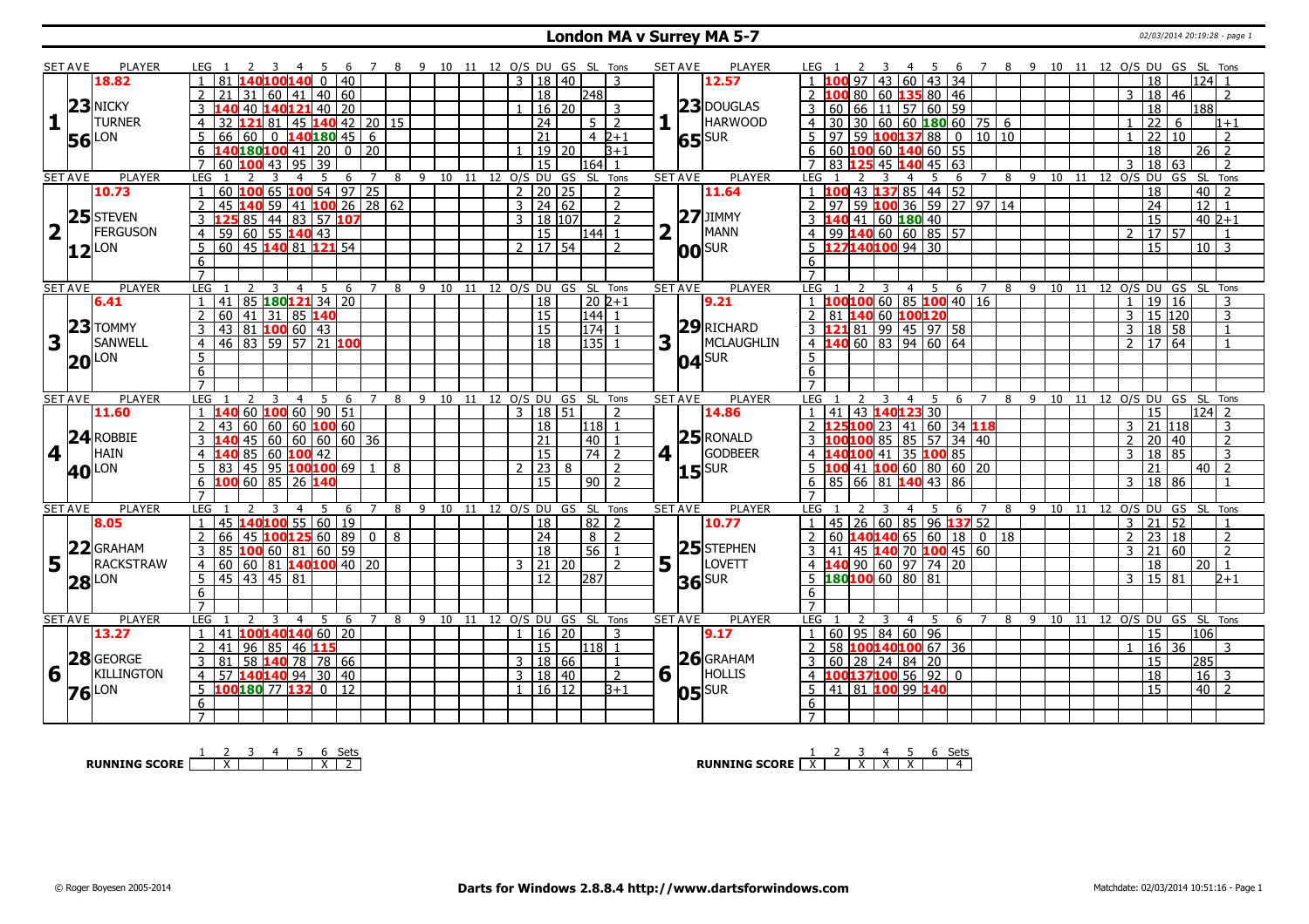#### **London MA v Surrey MA 5-7** 02/03/2014 20:19:28 - page 1

|                         | <b>SET AVE</b> | <b>PLAYER</b>            | LEG 1                                                                       |                     | 7 8 9 10 11 12 O/S DU GS SL Tons |                            |                         |                      |              |                     |                | <b>PLAYER</b><br><b>SET AVE</b> | 4 5 6 7 8 9 10 11 12 O/S DU GS SL Tons<br>LEG 1                                                                     |
|-------------------------|----------------|--------------------------|-----------------------------------------------------------------------------|---------------------|----------------------------------|----------------------------|-------------------------|----------------------|--------------|---------------------|----------------|---------------------------------|---------------------------------------------------------------------------------------------------------------------|
|                         |                | 18.82                    | 40<br>$\Omega$                                                              |                     |                                  |                            |                         | $3 \mid 18 \mid 40$  |              |                     | 3              | 12.57                           | $124$ 1<br>00.97<br>43 60 43 34<br>18                                                                               |
|                         |                |                          | 40 60<br>60   41                                                            |                     |                                  |                            |                         | $\overline{18}$      |              | l248l               |                |                                 | .00 80   60   135 80   46<br>  18   46<br>3<br>$\mathcal{P}$                                                        |
|                         |                | 23 NICKY                 | 140121 40 I<br>20<br>40                                                     |                     |                                  |                            |                         |                      | $16 \mid 20$ |                     | 3              | $23$ DOUGLAS                    | 188<br>60 <sup>1</sup><br>66 l<br>11 57 60 59<br>18                                                                 |
| 1                       |                | <b>TURNER</b>            | 45 140 42 20 15<br>$\overline{4}$<br>32<br>L21 81                           |                     |                                  |                            |                         | 24                   |              | . <sub>5</sub> l    | $\overline{2}$ | <b>HARWOOD</b>                  | 30   60   60   180   60   75   6<br>$\overline{22}$<br>30<br>$\overline{4}$<br>6<br>$1 + 1$                         |
|                         |                | <b>56</b> LON            | 140 180 45<br>5<br>66<br>60<br>$\Omega$                                     | 6                   |                                  |                            |                         | $\overline{21}$      |              | $4\;2+1$            |                | $65$ <sup>SUR</sup>             | 59 100137 88 0 10 10<br>$\overline{22}$<br>97 <sup>1</sup><br>110<br>$\overline{z}$                                 |
|                         |                |                          | 6<br>140180 <mark>100</mark> 41   20                                        | 0 1 2 0             |                                  |                            |                         |                      | 19 20        |                     | l3+1           |                                 | 6<br>60 100 60 140 60 55<br>$26$   2<br>18                                                                          |
|                         |                |                          | $7^{\circ}$<br>60<br>$\overline{95}$<br>$\overline{39}$<br>li nn<br>43      |                     |                                  |                            |                         | $\overline{15}$      |              | l164l 1             |                |                                 | $\overline{7}$<br>83 125 45 140 45 63<br>$\overline{18}$<br>63<br>$\overline{2}$<br>२                               |
|                         | <b>SET AVE</b> | <b>PLAYER</b>            | LEG<br>-5<br>3<br>$\overline{a}$<br>6                                       | 7                   | 8                                | 9 10 11 12 0/S DU          |                         |                      |              | GS SL Tons          |                | <b>PLAYER</b><br><b>SET AVE</b> | 8 9 10 11 12 0/S DU<br>GS<br>SL Tons<br><b>LEG</b><br>4<br>.5.<br>6<br>$7^{\circ}$                                  |
|                         |                | 10.73                    | 54   97  <br>65 100<br>$\mathbf{1}$<br>60<br>100                            | 25                  |                                  |                            |                         | 2 I                  | 20 25        |                     | $\overline{2}$ | 11.64                           | $100$ 43 $137$ 85 44 52<br>$40$   2<br>18                                                                           |
|                         |                |                          | 59 41 <b>100</b> 26 28 62<br>$\overline{2}$<br>45                           |                     |                                  |                            |                         | $3 \mid 24 \mid 62$  |              |                     | $\overline{2}$ |                                 | 59 100 36 59 27 97 14<br>$12$ 1<br>$\overline{97}$<br>$\overline{24}$                                               |
|                         |                | 25 STEVEN                | $\overline{3}$<br>$85 \mid 44 \mid 83 \mid 57$ 107                          |                     |                                  |                            |                         | $3 \mid 18 \mid 107$ |              |                     | $\overline{2}$ | $27$ JIMMY                      | 140 41 60 180 40<br>$\overline{15}$<br>$40\,2+1$                                                                    |
| $\overline{\mathbf{2}}$ | $\mathbf{I}$   | FERGUSON                 | $ 60 55$ 140 43<br>59<br>$\overline{4}$                                     |                     |                                  |                            |                         | $\overline{15}$      |              | $ 144 $ 1           |                | $\overline{2}$<br>MANN          | 99 140 60 60 85 57<br>17 57<br>$\mathcal{P}$                                                                        |
|                         |                |                          | 5<br>60 45 140 81 121 54                                                    |                     |                                  |                            |                         | 2   17   54          |              |                     | $\overline{2}$ |                                 | 1271401009430<br>$\overline{15}$<br>$10\overline{3}$                                                                |
|                         |                | $12^{\text{LON}}$        | 6                                                                           |                     |                                  |                            |                         |                      |              |                     |                | <b>00</b> SUR                   | 6                                                                                                                   |
|                         |                |                          | $\overline{7}$                                                              |                     |                                  |                            |                         |                      |              |                     |                |                                 |                                                                                                                     |
|                         | <b>SET AVE</b> | <b>PLAYER</b>            | LEG<br>3<br>$\overline{4}$<br>5<br>6                                        | $\overline{7}$      | 8<br>9<br>10                     |                            | 11 12 O/S DU GS SL Tons |                      |              |                     |                | <b>SET AVE</b><br><b>PLAYER</b> | <b>LEG</b><br>4 5 6 7<br>$8 \quad 9 \quad 10$<br>12 O/S DU GS SL Tons<br>3<br>11                                    |
|                         |                | 6.41                     | 85 180 121 34 20<br>41                                                      |                     |                                  |                            |                         | $\overline{18}$      |              | $\overline{20}$ 2+1 |                | 9.21                            | 00 100 60 85 100 40 16<br>$\overline{19}$<br>$\overline{16}$<br>3                                                   |
|                         |                |                          | 41 31 85 140<br>$\overline{2}$<br>60                                        |                     |                                  |                            |                         | 15                   |              | $\boxed{144}$ 1     |                |                                 | 81 140 60 100120<br>15 120<br>$\overline{2}$<br>3<br>3                                                              |
|                         |                | $23$ TOMMY               | $43 \ 81 \ 100 \ 60 \ 43$<br>3                                              |                     |                                  |                            |                         | $\overline{15}$      |              | $174$ 1             |                | $29$ RICHARD                    | 3 121 81 99 45 97 58<br>18 58<br>3<br>$\overline{1}$                                                                |
| 3                       |                | SANWELL                  | $46$ 83 59 57 21 100<br>$\overline{4}$                                      |                     |                                  |                            |                         | $\overline{18}$      |              | $135$ 1             |                | 3<br>MCLAUGHLIN                 | $4 \overline{140} \overline{60} \overline{83} \overline{94} \overline{60} \overline{64}$<br>$\overline{2}$<br>17 64 |
|                         |                |                          | $\overline{5}$                                                              |                     |                                  |                            |                         |                      |              |                     |                |                                 | $\overline{5}$                                                                                                      |
|                         |                | <b>20 LON</b>            | 6                                                                           |                     |                                  |                            |                         |                      |              |                     |                | $04$ SUR                        | 6                                                                                                                   |
|                         |                |                          | $\overline{7}$                                                              |                     |                                  |                            |                         |                      |              |                     |                |                                 |                                                                                                                     |
|                         | <b>SET AVE</b> | <b>PLAYER</b>            | LEG <sub>1</sub><br>$\overline{4}$<br>6                                     | 8                   | 9<br>10                          | - 11                       | 12 O/S DU GS SL Tons    |                      |              |                     |                | <b>PLAYER</b><br><b>SET AVE</b> | LEG<br>12 O/S DU GS SL Tons<br>- 9<br>4<br>6<br>8<br>10<br>11                                                       |
|                         |                | 11.60                    | 60 100 60 90 51                                                             |                     |                                  |                            |                         | 3   18   51          |              |                     | $\overline{2}$ | 14.86                           | 43 140 123 30<br>$124$ 2<br>41<br>15                                                                                |
|                         |                |                          | 60 60 60 100 60<br>$\overline{2}$<br>43                                     |                     |                                  |                            |                         | 18                   |              | 118 1               |                |                                 | 25100 23 41 60 34 18<br>21<br>3<br>118                                                                              |
|                         |                | $24$ ROBBIE              | $\boxed{60}$ $\boxed{60}$ $\boxed{60}$ $\boxed{60}$ $\boxed{36}$<br>45<br>3 |                     |                                  |                            |                         | 21                   |              | 40                  |                | $25$ RONALD                     | 00100 85 85 57 34 40<br>$ 40\rangle$<br>$\overline{2}$<br>20<br>3<br>$\mathcal{L}$                                  |
| 4 <sup>1</sup>          |                | HAIN                     | 85<br>$60 \, 100 \, 42$<br>$\overline{4}$                                   |                     |                                  |                            |                         | $\overline{15}$      |              | $74$   2            |                | GODBEER<br>$4$                  | $\overline{4}$<br>.40 <mark>100</mark> 41 35 100 85<br><sup>18</sup><br>85<br>$\mathbf{3}$<br>$\mathbf{R}$          |
|                         |                |                          | 45 95 100 100 69<br>5 <sup>2</sup><br>83                                    | 8<br>$\vert$ 1      |                                  |                            |                         | 2 23                 | 8            |                     | $\overline{2}$ |                                 | $5\overline{)}$<br>LOO 41 200 60 80 60 20<br>21<br>$40$   2                                                         |
|                         |                | <b>40</b> <sup>LON</sup> | 100 60 85 26 140<br>$6 \overline{6}$                                        |                     |                                  |                            |                         | $\overline{15}$      |              | $90$   2            |                | $15$ <sup>SUR</sup>             | $6\overline{6}$<br>85 66 81 140 43 86<br>18 86<br>$\overline{3}$                                                    |
|                         |                |                          | $\overline{7}$                                                              |                     |                                  |                            |                         |                      |              |                     |                |                                 | $\overline{7}$                                                                                                      |
|                         | <b>SET AVE</b> | <b>PLAYER</b>            | LEG                                                                         | 8                   | 9                                | 10 11 12 O/S DU GS SL Tons |                         |                      |              |                     |                | <b>PLAYER</b><br><b>SET AVE</b> | LEG<br>10 11 12 O/S DU<br>8<br>- 9<br>GS<br>-SL<br>Tons<br>6                                                        |
|                         |                | 8.05                     | 45 140 100 55 60 19<br>$\mathbf{1}$                                         |                     |                                  |                            |                         | 18                   |              | $82$   2            |                | 10.77                           | 45 26 60 85 96 137 52<br>52<br>$\overline{21}$<br>$\overline{3}$<br>$\mathbf{1}$<br>$\overline{1}$                  |
|                         |                |                          | 45 100 125 60 89<br>$\overline{2}$<br>66                                    | $\overline{0}$<br>8 |                                  |                            |                         | 24                   |              | $8 \mid 2$          |                |                                 | 60 <b>140 140</b> 65 60 18 0 18<br>$\overline{2}$<br> 23 18<br>$\overline{2}$<br>$\overline{2}$                     |
|                         |                | 22 GRAHAM                | 85<br>$100$ 60 $ 81 $ 60 $ 59 $<br>3                                        |                     |                                  |                            |                         | $\overline{18}$      |              | 56                  | $\overline{1}$ | $25$ STEPHEN                    | 45 140 70 100 45 60<br>60<br>$\overline{2}$<br>3<br>41<br>3<br>21                                                   |
| 5 <sup>1</sup>          | LΓ             | RACKSTRAW                | $ 60 81 $ 140100 40 20<br>$\overline{4}$<br>60                              |                     |                                  |                            |                         | $3 \mid 21 \mid 20$  |              |                     | 2              | 5<br>LOVETT                     | <b>40</b> 90 60 97 74 20<br>18<br>20<br>$\overline{4}$<br>$\mathbf{1}$                                              |
|                         |                |                          | $\overline{5}$<br>45 43 45 81                                               |                     |                                  |                            |                         | $\overline{12}$      |              | 287                 |                |                                 | 180100 60 80 81<br>5 <sup>5</sup><br>15 81<br>3<br>$2 + 1$                                                          |
|                         |                | <b>28</b> LON            | 6                                                                           |                     |                                  |                            |                         |                      |              |                     |                | $36$ SUR                        | 6                                                                                                                   |
|                         |                |                          | $\overline{7}$                                                              |                     |                                  |                            |                         |                      |              |                     |                |                                 |                                                                                                                     |
|                         | <b>SET AVE</b> | <b>PLAYER</b>            | <b>LEG</b><br>$\overline{4}$<br>.5<br>6                                     | $\overline{7}$      | 9<br>10<br>8                     | 11                         | 12 O/S DU               |                      |              | GS SL Tons          |                | <b>SET AVE</b><br><b>PLAYER</b> | SL Tons<br>LEG<br>$\mathsf{q}$<br>12 O/S DU GS<br>4 5<br>6<br>8<br>10<br>11                                         |
|                         |                | 13.27                    | 100140140 60 20<br>$\mathbf{1}$<br>41                                       |                     |                                  |                            |                         | 1 16 20              |              |                     | $\overline{3}$ | 9.17                            | 60 95 84 60 96<br>15<br>l106 l                                                                                      |
|                         |                |                          | 41<br>96   85   46 <b>11</b><br>$\overline{2}$                              |                     |                                  |                            |                         | 15                   |              | 118  1              |                |                                 | 58 100140100 67 36<br>16 36<br>$\overline{2}$<br>3                                                                  |
|                         |                | 28 GEORGE                | 58 140 78 78 66<br>$\mathbf{3}$<br>81                                       |                     |                                  |                            |                         | 3   18   66          |              |                     | $\overline{1}$ | $26$ GRAHAM                     | $60$   28   24   84   20<br><b>15</b><br>285<br>3                                                                   |
| 6                       |                | <b>KILLINGTON</b>        | 140140 94 30 40<br>$\overline{4}$<br>57                                     |                     |                                  |                            |                         | 3   18   40          |              |                     | $\overline{2}$ | 6<br>HOLLIS                     | $100137100$ 56 92 0<br>18<br>$16 \mid 3$<br>$\overline{4}$                                                          |
|                         |                |                          | 5<br>100 180 77 132 0 12                                                    |                     |                                  |                            |                         | $1 \mid 16 \mid 12$  |              |                     | $B+1$          |                                 | 41 81 100 99 140<br>l 15<br>40 2                                                                                    |
|                         |                | $76$ <sup>LON</sup>      | 6                                                                           |                     |                                  |                            |                         |                      |              |                     |                | $ 05 $ SUR                      | 6                                                                                                                   |
|                         |                |                          |                                                                             |                     |                                  |                            |                         |                      |              |                     |                |                                 |                                                                                                                     |
|                         |                |                          | $\overline{7}$                                                              |                     |                                  |                            |                         |                      |              |                     |                |                                 |                                                                                                                     |

**RUNNING SCORE** 1 2 X 3 4 5 6 X Sets 2

**RUNNING SCORE**  $\begin{array}{|c|c|c|c|c|}\n\hline\n\textbf{1} & \textbf{2} & \textbf{3} & \textbf{4} & \textbf{5} & \textbf{6} & \textbf{Sets} \\
\hline\n\textbf{5} & \textbf{5} & \textbf{6} & \textbf{7} & \textbf{8} & \textbf{8} & \textbf{9} \\
\hline\n\textbf{6} & \textbf{7} & \textbf{8} & \textbf{9} & \textbf{1} & \textbf{1} & \textbf{1} & \textbf{1} & \textbf{1} \\
\hline\n\textbf{7} & \textbf$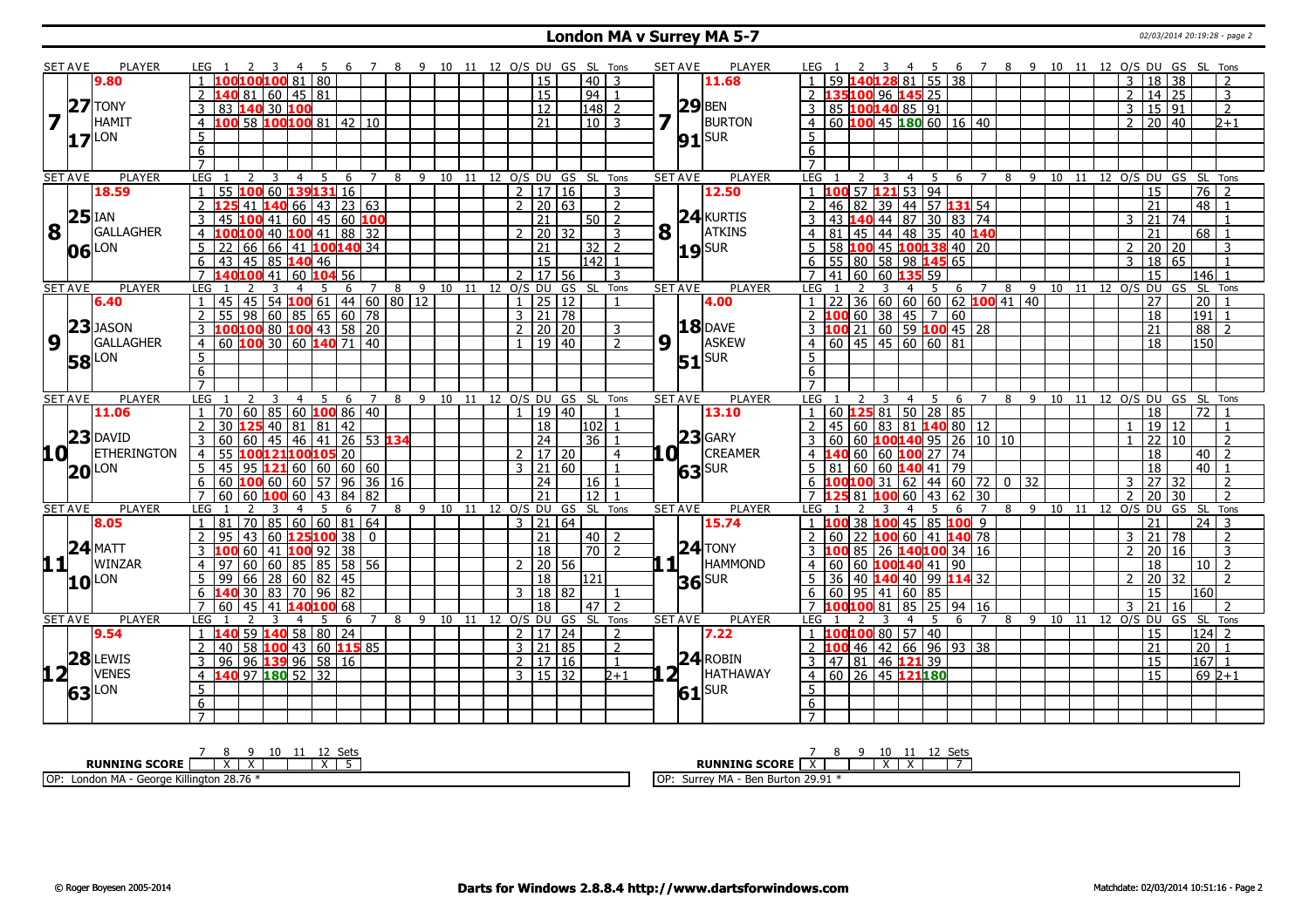#### **London MA v Surrey MA 5-7** 02/03/2014 20:19:28 - page 2

| <b>SET AVE</b><br>9.80<br>$27$ TONY     | PLAYER             | LEG <sub>1</sub><br>100100100 81 80<br>$\overline{1}$ |                                         |          | 6 7 8 9 10 11 12 O/S DU GS SL Tons |   |                   |  |              |                     |                                |                | <b>SET AVE</b> |                | <b>PLAYER</b>         | LEG 1                                                                  |                                 | - 5                |                     |      |       |                 |                                   |                                |                   | 6 7 8 9 10 11 12 O/S DU GS SL Tons |
|-----------------------------------------|--------------------|-------------------------------------------------------|-----------------------------------------|----------|------------------------------------|---|-------------------|--|--------------|---------------------|--------------------------------|----------------|----------------|----------------|-----------------------|------------------------------------------------------------------------|---------------------------------|--------------------|---------------------|------|-------|-----------------|-----------------------------------|--------------------------------|-------------------|------------------------------------|
|                                         |                    |                                                       |                                         |          |                                    |   |                   |  |              | 15                  | 40   3                         |                |                |                | 11.68                 | 59 <b>1</b>                                                            | 40128 81 55 38                  |                    |                     |      |       |                 | $\overline{3}$                    | 18 38                          |                   | $\overline{2}$                     |
|                                         |                    |                                                       | L40 81   60   45   81                   |          |                                    |   |                   |  |              | $\overline{15}$     | 94 1                           |                |                |                |                       | 35100                                                                  | 96 145 25                       |                    |                     |      |       |                 | $\overline{2}$<br>$\overline{14}$ | $\overline{25}$                |                   | 3                                  |
|                                         |                    |                                                       | 83 140 30 100                           |          |                                    |   |                   |  |              | $\overline{12}$     | $ 148 $ 2                      |                |                |                | $29$ BEN              | 85 100140 85 91                                                        |                                 |                    |                     |      |       |                 | $\mathbf{3}$                      | 15 91                          |                   | $\overline{2}$                     |
| $\overline{\mathbf{z}}$<br><b>HAMIT</b> |                    | $\overline{4}$                                        | 100 58 100 100 81 42 10                 |          |                                    |   |                   |  |              | $\overline{21}$     | $10\overline{3}$               |                |                | $\mathbf{L}$   | <b>BURTON</b>         | 60 100 45 180 60 16 40<br>4                                            |                                 |                    |                     |      |       |                 | $\overline{2}$                    | $20 \mid 40$                   |                   | $2+1$                              |
| LON                                     |                    | 5                                                     |                                         |          |                                    |   |                   |  |              |                     |                                |                |                |                | $91$ $SUR$            | 5                                                                      |                                 |                    |                     |      |       |                 |                                   |                                |                   |                                    |
| 17                                      |                    | 6                                                     |                                         |          |                                    |   |                   |  |              |                     |                                |                |                |                |                       | 6                                                                      |                                 |                    |                     |      |       |                 |                                   |                                |                   |                                    |
|                                         |                    | $\overline{7}$                                        |                                         |          |                                    |   |                   |  |              |                     |                                |                |                |                |                       | $\overline{7}$                                                         |                                 |                    |                     |      |       |                 |                                   |                                |                   |                                    |
| <b>SET AVE</b>                          | <b>PLAYER</b>      | LEG<br>$\mathcal{P}$                                  | $\overline{4}$                          | 5<br>-6  | $\overline{7}$                     | 8 |                   |  |              |                     | 9 10 11 12 O/S DU GS SL Tons   |                | <b>SET AVE</b> |                | <b>PLAYER</b>         | LEG                                                                    | 3<br>4                          | -5<br>6            | $\overline{7}$      |      |       |                 |                                   | 8 9 10 11 12 0/S DU GS SL Tons |                   |                                    |
| 18.59                                   |                    | $\overline{1}$<br>55                                  | 100 60 139 131 16                       |          |                                    |   |                   |  |              | $\sqrt{2}$ 17   16  |                                | 3              |                |                | 12.50                 | 100                                                                    | $\overline{57}$ 121 53 94       |                    |                     |      |       |                 | 15                                |                                | $\overline{76}$   | $\overline{2}$                     |
|                                         |                    | 2125                                                  | $41 \, 140 \, 66 \, 143 \, 123 \, 63$   |          |                                    |   |                   |  |              | $2 \mid 20 \mid 63$ |                                | $\overline{2}$ |                |                |                       | 46<br>82<br>$\mathcal{L}$                                              | 39 44 57 131 54                 |                    |                     |      |       |                 | $\overline{21}$                   |                                | $\overline{48}$ 1 |                                    |
| $25$ <sup>IAN</sup>                     |                    | $\mathcal{E}$                                         | 45 <b>100</b> 41 60 45 60 <b>100</b>    |          |                                    |   |                   |  |              | $\overline{21}$     | $50$   2                       |                |                |                | $24$ <b>KURTIS</b>    | 43<br>3<br>40                                                          | 44 87 30 83 74                  |                    |                     |      |       |                 | 3<br>21                           | 74                             |                   |                                    |
| 8                                       | <b>GALLAGHER</b>   | 4 100100 40 100 41 88 32                              |                                         |          |                                    |   |                   |  |              | $2 \mid 20 \mid 32$ |                                | 3              |                |                | $8\sqrt{1}$ ATKINS    | $4 \mid 81$<br>45                                                      | 44 48 35 40 140                 |                    |                     |      |       |                 | $\overline{21}$                   |                                | $68$   1          |                                    |
| LON                                     |                    | 5 22 66 66 41 <b>100 140</b> 34                       |                                         |          |                                    |   |                   |  |              | $\overline{21}$     | $32$   2                       |                |                |                |                       | 58<br>100                                                              | 45 100138 40 20                 |                    |                     |      |       |                 | 2                                 | 20 20                          |                   | 3                                  |
| 06                                      |                    | 6                                                     | $43 \mid 45 \mid 85$ 140 46             |          |                                    |   |                   |  |              | 15                  | 142 1                          |                |                |                | $19$ SUR              | 55<br>80                                                               | 58 98 145 65                    |                    |                     |      |       |                 | 3                                 | 18 65                          |                   |                                    |
|                                         |                    | $\overline{7}$                                        |                                         |          |                                    |   |                   |  |              | $\sqrt{17}$ 56      |                                |                |                |                |                       | 60                                                                     |                                 |                    |                     |      |       |                 | 15                                |                                |                   |                                    |
|                                         | <b>PLAYER</b>      |                                                       | 40 100 41 60 104 56                     |          |                                    |   | 9 10 11 12 O/S DU |  |              |                     |                                | 3              | <b>SET AVE</b> |                |                       | 41                                                                     | 60 135 59                       |                    |                     | $-9$ |       |                 |                                   | 10 11 12 0/S DU GS             | 146 I1<br>SL Tons |                                    |
| <b>SET AVE</b><br>6.40                  |                    | LEG<br>$\mathbf{1}$                                   | 45 45 54 100 61 44 60 80 12             | 6<br>5   | $\overline{7}$                     | 8 |                   |  | $\mathbf{1}$ | GS<br>25 12         |                                | SL Tons        |                |                | <b>PLAYER</b><br>4.00 | <b>LEG</b><br>22                                                       | 4<br>$36 60 60 60 62$ 100 41 40 | -5<br>6            | 8<br>7              |      |       |                 | 27                                |                                | $\overline{20}$   |                                    |
|                                         |                    | 2                                                     | 98   60   85   65   60   78             |          |                                    |   |                   |  |              | $3 \mid 21 \mid 78$ |                                |                |                |                |                       |                                                                        | $60$ 38 45 7                    | 60                 |                     |      |       |                 | 18                                |                                | $\overline{191}$  |                                    |
| $23$ JASON                              |                    |                                                       |                                         |          |                                    |   |                   |  |              |                     |                                |                |                |                | $18$ DAVE             | $3 \overline{100} 21 \overline{60} 59 \overline{100} 45 \overline{28}$ |                                 |                    |                     |      |       |                 | 21                                |                                | $\overline{88}$   | $\overline{2}$                     |
|                                         | GALLAGHER          | 3 $100100$ 80 $100$ 43 58 20                          |                                         |          |                                    |   |                   |  |              | 2   20   20         |                                | 3              |                |                | ASKEW                 | 60 45 45 60 60 81                                                      |                                 |                    |                     |      |       |                 |                                   |                                |                   |                                    |
| 9                                       |                    | $4   60   100   30   60   140   71   40$              |                                         |          |                                    |   |                   |  |              | $1 \mid 19 \mid 40$ |                                | $\overline{2}$ | 9              | -11            |                       | $\overline{4}$                                                         |                                 |                    |                     |      |       |                 | 18                                |                                | 150               |                                    |
| <b>58</b> LON                           |                    | 5 <sup>5</sup>                                        |                                         |          |                                    |   |                   |  |              |                     |                                |                |                |                | $51$ SUR              | 5                                                                      |                                 |                    |                     |      |       |                 |                                   |                                |                   |                                    |
|                                         |                    | 6 <sup>7</sup>                                        |                                         |          |                                    |   |                   |  |              |                     |                                |                |                |                |                       | 6                                                                      |                                 |                    |                     |      |       |                 |                                   |                                |                   |                                    |
|                                         |                    | $\overline{7}$                                        |                                         |          |                                    |   |                   |  |              |                     |                                |                |                |                |                       | $\overline{7}$                                                         |                                 |                    |                     |      |       |                 |                                   |                                |                   |                                    |
| <b>SET AVE</b>                          | <b>PLAYER</b>      | <b>LEG</b>                                            | $\overline{4}$                          | 5<br>- 6 | $\overline{7}$                     |   |                   |  |              |                     | 8 9 10 11 12 O/S DU GS SL Tons |                | <b>SET AVE</b> |                | <b>PLAYER</b>         | LEG 1                                                                  | $\overline{4}$                  | 5<br>-6            | $\overline{7}$<br>8 | - 9  | 10 11 |                 |                                   | 12 O/S DU GS SL Tons           |                   |                                    |
| 11.06                                   |                    | $1 \mid 70 \mid 60 \mid 85 \mid 60$ 100 86 40         |                                         |          |                                    |   |                   |  |              | $1 \mid 19 \mid 40$ |                                |                |                |                | 13.10                 | 60 125 81 50 28 85                                                     |                                 |                    |                     |      |       |                 | 18                                |                                | 72                |                                    |
| $23$ DAVID                              |                    | $\overline{2}$                                        | <b>25</b> 40   81   81   42             |          |                                    |   |                   |  |              | 18                  | 102 1                          |                |                |                | $23$ GARY             | 45                                                                     | 60 83 81 140 80 12              |                    |                     |      |       |                 |                                   | 19 12                          |                   |                                    |
|                                         |                    | 3<br>60                                               | 60   45   46   41   26   53 <b>134</b>  |          |                                    |   |                   |  |              | 24                  | $\overline{36}$                |                |                |                |                       |                                                                        | $100140$ 95 26 10 10            |                    |                     |      |       |                 | 22                                | $\overline{10}$                |                   | $\overline{2}$                     |
| 10 L                                    | <b>ETHERINGTON</b> | $\overline{4}$<br>55                                  | 100121100105 20                         |          |                                    |   |                   |  |              | 2   17   20         |                                | $\overline{4}$ | LO I           |                | <b>CREAMER</b>        | $\overline{4}$                                                         | $60$ 60 100 27 74               |                    |                     |      |       |                 | 18                                |                                | 40                | $\overline{z}$                     |
| $20$ <sup>LON</sup>                     |                    | 5   45   95   121   60   60   60   60                 |                                         |          |                                    |   |                   |  |              | $3 \ 21 \ 60$       |                                | $\overline{1}$ |                |                | 63 <sup>SUR</sup>     | 60<br>.5<br>81                                                         | 60 140 41 79                    |                    |                     |      |       |                 | 18                                |                                | 40                | $\mathbf{1}$                       |
|                                         |                    | $6$ 60 100 60 60 57 96 36 16                          |                                         |          |                                    |   |                   |  |              | $\overline{24}$     | $16$   1                       |                |                |                |                       | 6 <b>100 100</b> 31 62 44 60 72 0 32                                   |                                 |                    |                     |      |       |                 | $\overline{27}$<br>$\mathbf{3}$   | $\overline{32}$                |                   | $\overline{\phantom{0}}$           |
|                                         |                    | 7 60 60 <b>100</b> 60 43 84 82                        |                                         |          |                                    |   |                   |  |              | $\overline{21}$     | $\overline{12}$                |                |                |                |                       | 7 <sub>1</sub><br>81<br>100                                            | 60                              | $ 43\rangle$<br>62 | 30                  |      |       |                 | $\overline{20}$<br>2              | $\overline{30}$                |                   | 2                                  |
| <b>SET AVE</b>                          | <b>PLAYER</b>      | <b>LEG</b>                                            |                                         | 5<br>6   | $\overline{7}$                     | 8 |                   |  |              |                     | 9 10 11 12 0/S DU GS SL Tons   |                | <b>SET AVE</b> |                | <b>PLAYER</b>         | <b>LEG</b>                                                             |                                 | 6                  | $\overline{7}$<br>8 | 9    |       | 10 11 12 O/S DU |                                   | GS SL                          |                   | Tons                               |
| 8.05                                    |                    | $\overline{1}$                                        | 81   70   85   60   60   81   64        |          |                                    |   |                   |  |              | 3   21   64         |                                |                |                |                | 15.74                 |                                                                        | 38 100 45 85 100 9              |                    |                     |      |       |                 | 21                                |                                | $\overline{24}$   | -3                                 |
|                                         |                    | $\overline{2}$<br>95                                  | 43   60 <b>125100</b> 38                |          | $\Omega$                           |   |                   |  |              | $\overline{21}$     | 40   2                         |                |                |                |                       | $\mathcal{L}$<br>l 60                                                  | 22 100 60 41 140 78             |                    |                     |      |       |                 | 21 <br>3                          | $\overline{78}$                |                   | $\overline{\phantom{0}}$           |
| $24$ MATT                               |                    | $3\,100$                                              | 60   41 $\frac{100}{92}$   38           |          |                                    |   |                   |  |              | $\sqrt{18}$         | 70 2                           |                |                |                | $24$ TONY             |                                                                        | 85 26 140100 34 16              |                    |                     |      |       |                 | 2                                 | 20 16                          |                   | $\overline{3}$                     |
| 11<br>WINZAR                            |                    | 97                                                    | 60 60 85 85 58 56                       |          |                                    |   |                   |  |              | $2 \mid 20 \mid 56$ |                                |                |                | 111            | HAMMOND               | $\overline{4}$<br>60                                                   | 60 100140 41 90                 |                    |                     |      |       |                 | 18                                |                                | $\sqrt{2}$<br>10  |                                    |
| $10$ $\text{LON}$                       |                    | 5<br>99                                               | 66   28   60   82   45                  |          |                                    |   |                   |  |              | $\overline{18}$     | 121                            |                |                |                | $36$ SUR              | 36<br>40                                                               | 140 40 99 114 32                |                    |                     |      |       |                 | $\overline{2}$                    | 20 32                          |                   | $\overline{\phantom{a}}$           |
|                                         |                    | 6                                                     | 30 83 70 96 82                          |          |                                    |   |                   |  |              | 3   18   82         |                                | $\mathbf{1}$   |                |                |                       | 60 95 41 60 85<br>6                                                    |                                 |                    |                     |      |       |                 | 15                                |                                | 160               |                                    |
|                                         |                    | $\overline{7}$<br>60                                  | 45   41 <b>140 100</b> 68               |          |                                    |   |                   |  |              | 18                  | $47$   2                       |                |                |                |                       | 00100                                                                  | 85<br>R1                        | $25 \mid 94$       | 16                  |      |       |                 | 21<br>3                           | 16                             |                   |                                    |
| <b>SET AVE</b>                          | <b>PLAYER</b>      | <b>LEG</b>                                            |                                         | 6        | $\overline{7}$                     | 8 |                   |  |              |                     | 9 10 11 12 0/S DU GS SL Tons   |                | <b>SET AVE</b> |                | <b>PLAYER</b>         | <b>LEG</b>                                                             | $\overline{4}$                  | 5<br>6             | $\overline{7}$<br>8 | 9    | 10    |                 |                                   | 11 12 0/S DU GS SL Tons        |                   |                                    |
| 9.54                                    |                    | $\overline{1}$                                        | 59 140 58 80 24                         |          |                                    |   |                   |  |              | 2 17 24             |                                | 2              |                |                | 7.22                  | 100100                                                                 | 80 57 40                        |                    |                     |      |       |                 | 15                                |                                | 124               |                                    |
|                                         |                    | 2 I<br>40                                             | 58 <b>100</b> 43 60 115 85              |          |                                    |   |                   |  |              | 3 21 85             |                                | $\overline{z}$ |                |                |                       |                                                                        | 46 42 66 96 93 38               |                    |                     |      |       |                 | 21                                |                                | 20                | $\overline{1}$                     |
| 28<br>LEWIS                             |                    | 3 I                                                   | 96   96   <mark>139</mark> 96   58   16 |          |                                    |   |                   |  |              | 2   17   16         |                                | $\mathbf{1}$   |                |                | $24$ ROBIN            | $3 \mid 47 \mid 81 \mid 46$ 121 39                                     |                                 |                    |                     |      |       |                 | 15                                |                                | $167$ 1           |                                    |
| $12^{\circ}$<br><b>VENES</b>            |                    | 4 140 97 180 52 32                                    |                                         |          |                                    |   |                   |  |              | $3 \mid 15 \mid 32$ |                                | $2 + 1$        |                | 2 <sub>1</sub> | HATHAWAY              | 4 60 26 45 121180                                                      |                                 |                    |                     |      |       |                 | 15                                |                                | $692+1$           |                                    |
| LON<br>63                               |                    | 5 <sup>1</sup>                                        |                                         |          |                                    |   |                   |  |              |                     |                                |                |                |                | $61$ SUR              | 5                                                                      |                                 |                    |                     |      |       |                 |                                   |                                |                   |                                    |
|                                         |                    | 6                                                     |                                         |          |                                    |   |                   |  |              |                     |                                |                |                |                |                       | 6                                                                      |                                 |                    |                     |      |       |                 |                                   |                                |                   |                                    |
|                                         |                    | $\overline{7}$                                        |                                         |          |                                    |   |                   |  |              |                     |                                |                |                |                |                       |                                                                        |                                 |                    |                     |      |       |                 |                                   |                                |                   |                                    |

| ^÷                                                | 10<br>⊆ot<br>ノーー                              |
|---------------------------------------------------|-----------------------------------------------|
| <b>RUNNING SCORE</b>                              | <b>RUNNING SCORE</b>                          |
| 28.76<br>.<br>OP:<br>. M<br>Londo<br><b>utvii</b> | i OP<br>29.91<br><i>.</i> MA<br>Dom<br>Burton |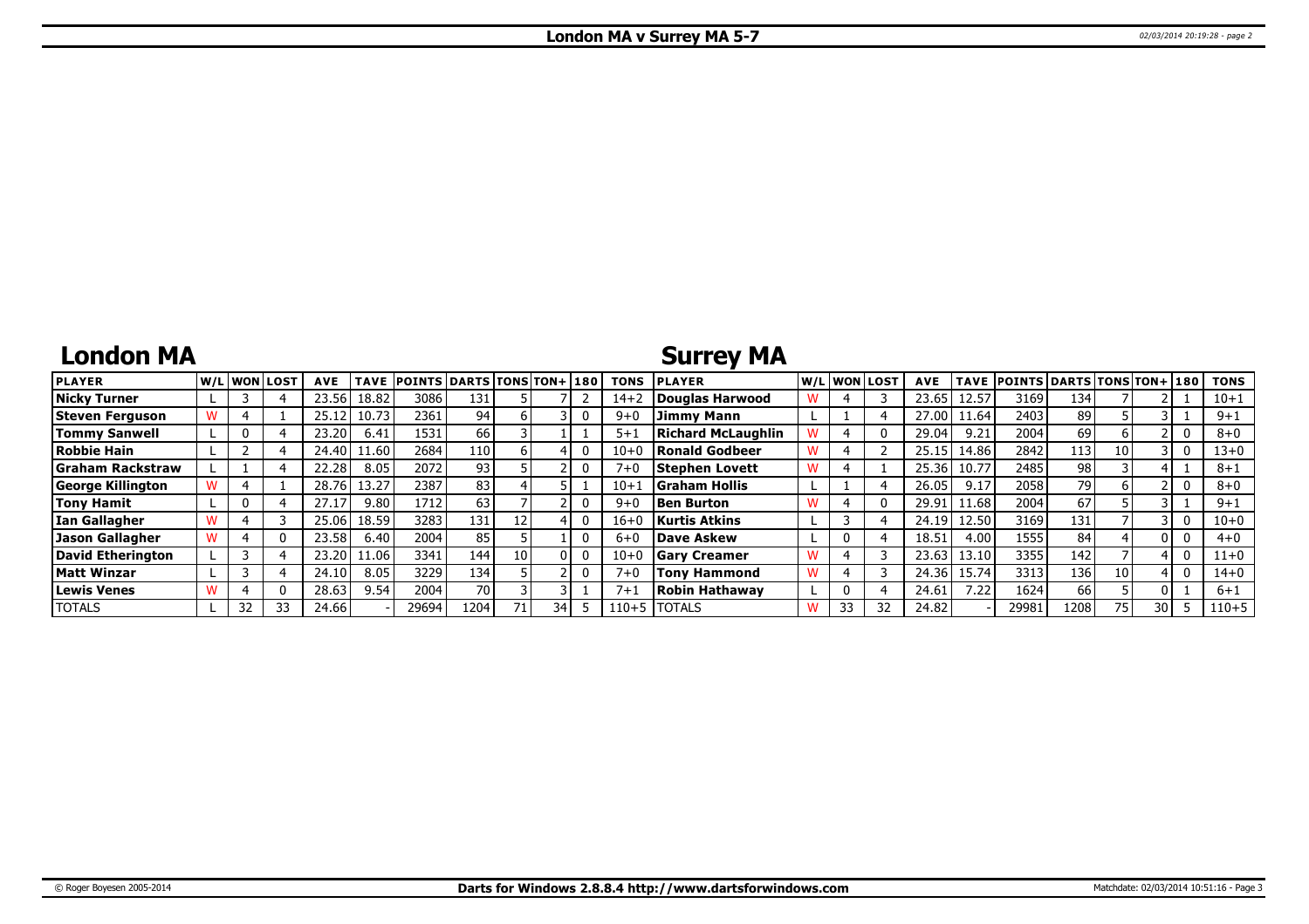## **London MA**

## **Surrey MA**

| <b>PLAYER</b>           |    | W/Liwonilost! | <b>AVE</b> | <b>TAVE</b> | <b>POINTS DARTS TONS TON+1180</b> |      |    |      | <b>TONS</b> | <b>IPLAYER</b>            |    | W/L WON LOST | <b>AVE</b> |       | <b>TAVE POINTS DARTS TONS TON+ 180</b> |      |      |    | <b>TONS</b> |
|-------------------------|----|---------------|------------|-------------|-----------------------------------|------|----|------|-------------|---------------------------|----|--------------|------------|-------|----------------------------------------|------|------|----|-------------|
| <b>Nicky Turner</b>     |    |               | 23.56      | 18.82       | 3086                              | 131  |    |      | $14 + 2$    | Douglas Harwood           |    |              | 23.65      | 12.57 | 3169                                   | 134  |      |    | $10 + 1$    |
| Steven Ferauson         |    |               | 25.12      | 10.73       | 2361                              | 94   |    |      | $9 + 0$     | Jimmy Mann                |    |              | 27.00      | 11.64 | 2403                                   | 89   |      |    | $9 + 1$     |
| <b>Tommy Sanwell</b>    |    |               | 23.20      | 6.41        | 1531                              | 66 l |    |      | $5 + 1$     | <b>Richard McLaughlin</b> |    |              | 29.04      | 9.21  | 2004                                   | 69   |      |    | $8 + 0$     |
| <b>Robbie Hain</b>      |    |               | 24.40      | 11.60       | 2684                              | 110  |    |      | $10 + 0$    | Ronald Godbeer            |    |              | 25.15      | 14.86 | 2842                                   | 113  | 10 I |    | $13 + 0$    |
| <b>Graham Rackstraw</b> |    |               | 22.28      | 8.05        | 2072                              | 93   |    |      | $7 + C$     | <b>Stephen Lovett</b>     |    |              | 25.36      | 10.77 | 2485                                   | 98   |      |    | $8 + 1$     |
| George Killington       |    |               | 28.76      | 13.27       | 2387                              | 83   |    |      | $10 + 1$    | Graham Hollis             |    |              | 26.05      | 9.17  | 2058                                   | 79   |      |    | $8 + 0$     |
| <b>Tony Hamit</b>       |    |               |            | 9.80        | 1712                              | 63   |    |      | $9 + 0$     | <b>Ben Burton</b>         |    |              | 29.91      | 11.68 | 2004                                   | 67   |      |    | $9 + 1$     |
| <b>Ian Gallagher</b>    |    |               | 25.06      | 18.59       | 3283                              | 131  |    |      | $16+$       | <b>Kurtis Atkins</b>      |    |              | 24.19      | 12.50 | 3169                                   | 131  |      |    | $10 + 0$    |
| <b>Jason Gallagher</b>  |    |               | 23.58      | 6.40        | 2004                              | 85   |    |      | $6 + C$     | <b>Dave Askew</b>         |    |              | 18.5       | 4.00  | 1555                                   | 84   |      |    | $4 + 0$     |
| David Etherington       |    |               | 23.20      | 1.06        | 3341                              | 144  | 10 |      | $10 + 0$    | Garv Creamer              |    |              | 23.63      | 13.10 | 3355                                   | 142  |      |    | $11+0$      |
| <b>Matt Winzar</b>      |    |               | 24.10      | 8.05        | 3229                              | 134  |    |      | $7 + 0$     | <b>Tony Hammond</b>       |    |              | 24.36      | 15.74 | 3313                                   | 136  | 10   |    | 14+0        |
| <b>Lewis Venes</b>      |    |               | 28.63      | 9.54        | 2004                              | 70 l |    |      | $7+$        | <b>Robin Hathawav</b>     |    |              | 24.61      | 7.22  | 1624                                   | 66   |      |    | $6 + 1$     |
| <b>TOTALS</b>           | 32 | 33            | 24.66      |             | 29694                             | 1204 |    | 34 I | $110 + 5$   | <b>TOTALS</b>             | 33 | 32           | 24.82      |       | 29981                                  | 1208 | 75.  | 30 | $110 + 5$   |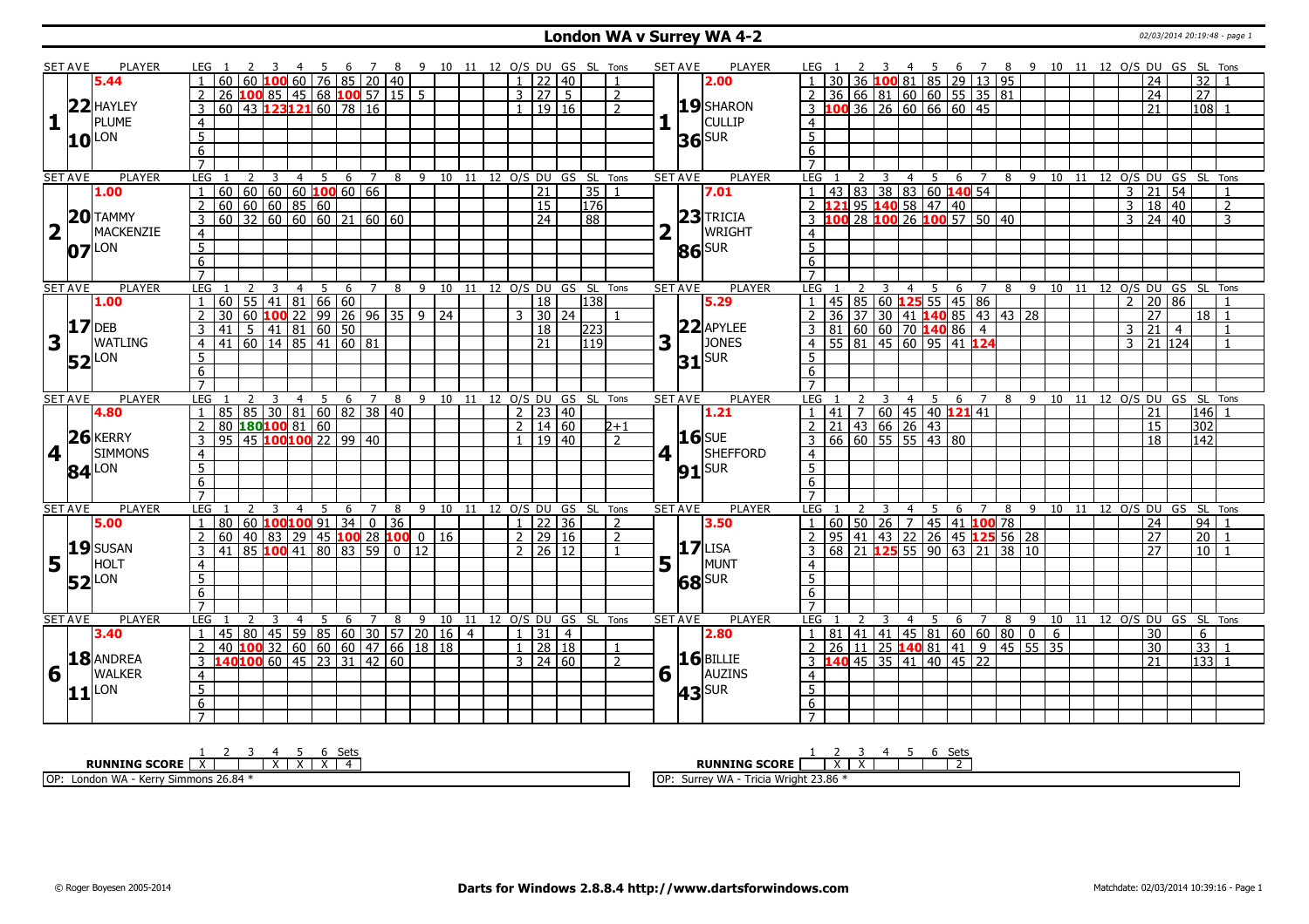#### **London WA v Surrey WA 4-2** 02/03/2014 20:19:48 - page 1

|                         | SET AVE         | <b>PLAYER</b>       | LEG 1               |                                                     |                                                                               |                                  |                |         |     |   |                |  |  |                      | 4 5 6 7 8 9 10 11 12 O/S DU GS SL Tons |                |   | SET AVE               | PLAYER              | LEG 1                             |   |                |                |                  |                                 |                                                                       |                                                                                   |     |                                |  | 4 5 6 7 8 9 10 11 12 O/S DU GS SL Tons |                 |                          |                            |                    |                          |
|-------------------------|-----------------|---------------------|---------------------|-----------------------------------------------------|-------------------------------------------------------------------------------|----------------------------------|----------------|---------|-----|---|----------------|--|--|----------------------|----------------------------------------|----------------|---|-----------------------|---------------------|-----------------------------------|---|----------------|----------------|------------------|---------------------------------|-----------------------------------------------------------------------|-----------------------------------------------------------------------------------|-----|--------------------------------|--|----------------------------------------|-----------------|--------------------------|----------------------------|--------------------|--------------------------|
|                         |                 | 5.44                |                     | 60 60 100 60 76 85 20 40                            |                                                                               |                                  |                |         |     |   |                |  |  | $1 \mid 22 \mid 40$  |                                        |                |   |                       | 2.00                |                                   |   |                |                |                  |                                 |                                                                       | 36 100 81 85 29 13 95                                                             |     |                                |  |                                        | 24              |                          |                            | $\overline{32}$    |                          |
|                         |                 |                     |                     | 26                                                  | $100$ 85   45   68 $100$ 57   15   5                                          |                                  |                |         |     |   |                |  |  | 3   27   5           |                                        | 2              |   |                       |                     | 2 <sup>1</sup>                    |   |                |                |                  |                                 |                                                                       | 36 66 81 60 60 55 35 81                                                           |     |                                |  |                                        | $\overline{24}$ |                          | 27                         |                    |                          |
|                         |                 | 22 HAYLEY           | 3                   | 60 43 123 121 60 78 16                              |                                                                               |                                  |                |         |     |   |                |  |  | 19   16              |                                        | $\mathcal{P}$  |   |                       | $19$ SHARON         |                                   |   |                |                |                  |                                 | $3 \overline{100} 36 \overline{26} 60 \overline{66} 60 \overline{45}$ |                                                                                   |     |                                |  |                                        | 21              |                          |                            | 108                |                          |
| $\mathbf{1}$            |                 | <b>PLUME</b>        | $\overline{4}$      |                                                     |                                                                               |                                  |                |         |     |   |                |  |  |                      |                                        |                |   |                       | <b>CULLIP</b>       | $\overline{4}$                    |   |                |                |                  |                                 |                                                                       |                                                                                   |     |                                |  |                                        |                 |                          |                            |                    |                          |
|                         |                 | $10^{\text{LON}}$   | 5 <sub>5</sub>      |                                                     |                                                                               |                                  |                |         |     |   |                |  |  |                      |                                        |                |   |                       |                     | $\overline{5}$                    |   |                |                |                  |                                 |                                                                       |                                                                                   |     |                                |  |                                        |                 |                          |                            |                    |                          |
|                         |                 |                     | $\overline{6}$      |                                                     |                                                                               |                                  |                |         |     |   |                |  |  |                      |                                        |                |   |                       | $36$ SUR            | 6                                 |   |                |                |                  |                                 |                                                                       |                                                                                   |     |                                |  |                                        |                 |                          |                            |                    |                          |
|                         |                 |                     | $\overline{7}$      |                                                     |                                                                               |                                  |                |         |     |   |                |  |  |                      |                                        |                |   |                       |                     | $\overline{7}$                    |   |                |                |                  |                                 |                                                                       |                                                                                   |     |                                |  |                                        |                 |                          |                            |                    |                          |
|                         | <b>SET AVE</b>  | <b>PLAYER</b>       | LEG                 |                                                     | 2<br>3                                                                        |                                  | $\overline{4}$ | -5      | 6 7 |   |                |  |  |                      | 8 9 10 11 12 0/S DU GS SL Tons         |                |   | <b>SET AVE</b>        | <b>PLAYER</b>       | <b>LEG</b>                        | 2 | 3              | $\overline{4}$ | - 5              | - 6                             | $\overline{7}$                                                        |                                                                                   |     | 8 9 10 11 12 0/S DU GS SL Tons |  |                                        |                 |                          |                            |                    |                          |
|                         |                 | 1.00                | $\mathbf{1}$        | 60                                                  | 60   60   60 <mark>100</mark> 60   66                                         |                                  |                |         |     |   |                |  |  | 21                   | 35                                     |                |   |                       | 7.01                | $\overline{1}$                    |   |                |                |                  |                                 | 43   83   38   83   60 <b>140</b> 54                                  |                                                                                   |     |                                |  | $\overline{3}$                         | $ 21\rangle$    | $\overline{54}$          |                            |                    |                          |
|                         |                 |                     | $\overline{2}$      | $60 \ 60 \ 60 \ 85 \ 60$                            |                                                                               |                                  |                |         |     |   |                |  |  | $\overline{15}$      | 176                                    |                |   |                       |                     |                                   |   |                |                |                  | 2 121 95 140 58 47 40           |                                                                       |                                                                                   |     |                                |  | 3                                      |                 | 18 40                    |                            |                    | $\overline{\phantom{a}}$ |
|                         |                 | $20$ TAMMY          | $\mathbf{3}$        | $60$ 32 60 60 60 21 60 60                           |                                                                               |                                  |                |         |     |   |                |  |  | $\sqrt{24}$          | 88                                     |                |   |                       | $23$ Tricia         |                                   |   |                |                |                  |                                 |                                                                       | 3 100 28 100 26 100 57 50 40                                                      |     |                                |  | $\mathcal{E}$                          |                 | 24 40                    |                            |                    | 3                        |
| $\overline{\mathbf{2}}$ | $\mathbf{L}$    | MACKENZIE           | $\overline{4}$      |                                                     |                                                                               |                                  |                |         |     |   |                |  |  |                      |                                        |                |   |                       | <b>WRIGHT</b>       | $\overline{4}$                    |   |                |                |                  |                                 |                                                                       |                                                                                   |     |                                |  |                                        |                 |                          |                            |                    |                          |
|                         |                 |                     | $\overline{5}$      |                                                     |                                                                               |                                  |                |         |     |   |                |  |  |                      |                                        |                |   |                       |                     | $\overline{5}$                    |   |                |                |                  |                                 |                                                                       |                                                                                   |     |                                |  |                                        |                 |                          |                            |                    |                          |
|                         |                 | $07$ $\text{LON}$   |                     |                                                     |                                                                               |                                  |                |         |     |   |                |  |  |                      |                                        |                |   |                       | $86$ SUR            |                                   |   |                |                |                  |                                 |                                                                       |                                                                                   |     |                                |  |                                        |                 |                          |                            |                    |                          |
|                         |                 |                     | 6                   |                                                     |                                                                               |                                  |                |         |     |   |                |  |  |                      |                                        |                |   |                       |                     | 6                                 |   |                |                |                  |                                 |                                                                       |                                                                                   |     |                                |  |                                        |                 |                          |                            |                    |                          |
|                         |                 |                     | $\overline{7}$      |                                                     |                                                                               |                                  |                |         |     |   |                |  |  |                      |                                        |                |   |                       |                     |                                   |   |                |                |                  |                                 |                                                                       |                                                                                   |     |                                |  |                                        |                 |                          |                            |                    |                          |
|                         | <b>SET AVE</b>  | <b>PLAYER</b>       | LEG                 |                                                     |                                                                               | $\overline{3}$<br>$\overline{4}$ |                | 5       |     |   |                |  |  |                      | 6 7 8 9 10 11 12 0/S DU GS SL Tons     |                |   | <b>SET AVE</b>        | <b>PLAYER</b>       | LEG                               |   | 3              |                | $4 \overline{5}$ |                                 | $6\overline{7}$                                                       |                                                                                   |     | 8 9 10 11 12 0/S DU GS SL Tons |  |                                        |                 |                          |                            |                    |                          |
|                         |                 | 1.00                |                     | $60$ 55 41 81 66 60                                 |                                                                               |                                  |                |         |     |   |                |  |  | $\overline{18}$      | 138                                    |                |   |                       | 5.29                |                                   |   |                |                |                  |                                 | 45 85 60 125 55 45 86                                                 |                                                                                   |     |                                |  | 2                                      |                 | 20 86                    |                            |                    |                          |
|                         | $17$ DEB        |                     |                     | 30                                                  | 60 <b>100</b> 22   99   26   96   35   9   24                                 |                                  |                |         |     |   |                |  |  | $3 \mid 30 \mid 24$  |                                        |                |   |                       |                     | 2                                 |   |                |                |                  |                                 |                                                                       | 36 37 30 41 140 85 43 43 28                                                       |     |                                |  |                                        | $\overline{27}$ |                          |                            | $18$   1           |                          |
|                         |                 |                     | 3                   | 41                                                  | $5 \mid 41 \mid 81 \mid 60 \mid 50$                                           |                                  |                |         |     |   |                |  |  | <b>18</b>            | 223                                    |                |   |                       | $22$ APYLEE         |                                   |   |                |                |                  |                                 | <u>3 81 60 60 70 140 86 4</u><br>4 55 81 45 60 95 41 124              |                                                                                   |     |                                |  | 3 <sup>1</sup>                         | $\overline{21}$ | $\overline{4}$           |                            |                    | $\mathbf{1}$             |
| 3                       | $\mathbf{1}$    | <b>WATLING</b>      | $\overline{4}$      | 41                                                  | $\boxed{60}$ $\boxed{14}$ $\boxed{85}$ $\boxed{41}$ $\boxed{60}$ $\boxed{81}$ |                                  |                |         |     |   |                |  |  | 21                   | 119                                    |                | 3 |                       | JONES               |                                   |   |                |                |                  |                                 |                                                                       |                                                                                   |     |                                |  | 3                                      |                 | $\sqrt{21}$ $\sqrt{124}$ |                            |                    |                          |
|                         |                 | <b>52</b> LON       | 5                   |                                                     |                                                                               |                                  |                |         |     |   |                |  |  |                      |                                        |                |   |                       | $31$ SUR            | $5^{\circ}$                       |   |                |                |                  |                                 |                                                                       |                                                                                   |     |                                |  |                                        |                 |                          |                            |                    |                          |
|                         |                 |                     | 6                   |                                                     |                                                                               |                                  |                |         |     |   |                |  |  |                      |                                        |                |   |                       |                     | 6                                 |   |                |                |                  |                                 |                                                                       |                                                                                   |     |                                |  |                                        |                 |                          |                            |                    |                          |
|                         |                 |                     | $\overline{7}$      |                                                     |                                                                               |                                  |                |         |     |   |                |  |  |                      |                                        |                |   |                       |                     | $\overline{7}$                    |   |                |                |                  |                                 |                                                                       |                                                                                   |     |                                |  |                                        |                 |                          |                            |                    |                          |
|                         | <b>SET AVE</b>  | <b>PLAYER</b>       | LEG                 |                                                     |                                                                               |                                  | $\overline{4}$ | 5 6 7 8 |     |   |                |  |  |                      | 9 10 11 12 0/S DU GS SL Tons           |                |   | <b>SET AVE</b>        | <b>PLAYER</b>       | <b>LEG</b>                        |   | $\overline{3}$ |                |                  |                                 |                                                                       | 4 5 6 7 8 9 10 11 12 O/S DU GS SL Tons                                            |     |                                |  |                                        |                 |                          |                            |                    |                          |
|                         |                 |                     |                     |                                                     |                                                                               |                                  |                |         |     |   |                |  |  |                      |                                        |                |   |                       |                     |                                   |   |                |                |                  |                                 |                                                                       |                                                                                   |     |                                |  |                                        | 21              |                          |                            | l146l 1            |                          |
|                         |                 | 4.80                | $\mathbf{1}$        | 85 85 30 81 60 82 38 40                             |                                                                               |                                  |                |         |     |   |                |  |  | 2 2 2 4 0            |                                        |                |   |                       | 1.21                |                                   |   |                |                |                  |                                 | 1  41   7   60   45   40   121   41                                   |                                                                                   |     |                                |  |                                        |                 |                          |                            |                    |                          |
|                         |                 |                     | $\overline{2}$      | 80 180 100 81 60                                    |                                                                               |                                  |                |         |     |   |                |  |  | $2 \mid 14 \mid 60$  |                                        | 2+1            |   |                       |                     | $2$ 21 43 66 26 43                |   |                |                |                  |                                 |                                                                       |                                                                                   |     |                                |  |                                        | 15              |                          |                            | 302                |                          |
|                         |                 | $26$ <b>KERRY</b>   | $\overline{3}$      | $95$ 45 <b>100100</b> 22 99 40                      |                                                                               |                                  |                |         |     |   |                |  |  | $1 \mid 19 \mid 40$  |                                        | $\overline{z}$ |   | $16$ <sub>SUE</sub>   |                     |                                   |   |                |                |                  | 3   66   60   55   55   43   80 |                                                                       |                                                                                   |     |                                |  |                                        | 18              |                          | 142                        |                    |                          |
| $\overline{4}$          | $\Box$          | <b>SIMMONS</b>      | $\overline{4}$      |                                                     |                                                                               |                                  |                |         |     |   |                |  |  |                      |                                        |                | 4 |                       | <b>SHEFFORD</b>     | $\overline{4}$                    |   |                |                |                  |                                 |                                                                       |                                                                                   |     |                                |  |                                        |                 |                          |                            |                    |                          |
|                         |                 |                     | $\overline{5}$      |                                                     |                                                                               |                                  |                |         |     |   |                |  |  |                      |                                        |                |   |                       |                     | $\overline{5}$                    |   |                |                |                  |                                 |                                                                       |                                                                                   |     |                                |  |                                        |                 |                          |                            |                    |                          |
|                         |                 | $84$ <sup>LON</sup> | $6\overline{6}$     |                                                     |                                                                               |                                  |                |         |     |   |                |  |  |                      |                                        |                |   |                       | $91$ SUR            | 6                                 |   |                |                |                  |                                 |                                                                       |                                                                                   |     |                                |  |                                        |                 |                          |                            |                    |                          |
|                         |                 |                     | $\overline{7}$      |                                                     |                                                                               |                                  |                |         |     |   |                |  |  |                      |                                        |                |   |                       |                     | $\overline{7}$                    |   |                |                |                  |                                 |                                                                       |                                                                                   |     |                                |  |                                        |                 |                          |                            |                    |                          |
|                         | <b>SET AVE</b>  | <b>PLAYER</b>       | LEG                 |                                                     |                                                                               | 4                                |                |         | 6   |   | 8              |  |  |                      | 9 10 11 12 O/S DU GS SL Tons           |                |   | <b>SET AVE</b>        | <b>PLAYER</b>       | LEG                               |   |                | 4              |                  | 6                               |                                                                       |                                                                                   | 8 9 |                                |  |                                        |                 |                          | 10 11 12 O/S DU GS SL Tons |                    |                          |
|                         |                 | 5.00                |                     | 80 60 100 100 91 34                                 |                                                                               |                                  |                |         |     |   | $\boxed{0}$ 36 |  |  | $1 \mid 22 \mid 36$  |                                        | 2              |   |                       | 3.50                | $\overline{1}$                    |   |                |                |                  |                                 |                                                                       | 60   50   26   7   45   41 <b>100</b> 78                                          |     |                                |  |                                        | 24              |                          | 94                         |                    |                          |
|                         |                 |                     | $2^{\circ}$         | $60   40   83   29   45   100   28   100   0   16$  |                                                                               |                                  |                |         |     |   |                |  |  | 2   29   16          |                                        | $\overline{2}$ |   |                       |                     |                                   |   |                |                |                  |                                 |                                                                       | 2 95 41 43 22 26 45 125 56 28                                                     |     |                                |  |                                        | $\overline{27}$ |                          |                            | 20                 |                          |
|                         |                 | $19$ SUSAN          | 3                   | 41                                                  | 85 100 41 80 83 59                                                            |                                  |                |         |     |   | $\boxed{0}$ 12 |  |  | $2 \mid 26 \mid 12$  |                                        |                |   |                       | $17$ LISA           | 3                                 |   |                |                |                  |                                 |                                                                       | 68 21 125 55 90 63 21 38 10                                                       |     |                                |  |                                        | 27              |                          |                            | 10                 |                          |
|                         | $\vert \ \vert$ | HOLT                | $\overline{4}$      |                                                     |                                                                               |                                  |                |         |     |   |                |  |  |                      |                                        |                |   |                       | MUNT                | $\overline{4}$                    |   |                |                |                  |                                 |                                                                       |                                                                                   |     |                                |  |                                        |                 |                          |                            |                    |                          |
| 5                       |                 |                     | 5                   |                                                     |                                                                               |                                  |                |         |     |   |                |  |  |                      |                                        |                |   | $5\vert$ <sup>T</sup> |                     | 5 <sup>5</sup>                    |   |                |                |                  |                                 |                                                                       |                                                                                   |     |                                |  |                                        |                 |                          |                            |                    |                          |
|                         |                 | $52$ <sup>LON</sup> |                     |                                                     |                                                                               |                                  |                |         |     |   |                |  |  |                      |                                        |                |   |                       | <b>68</b> SUR       |                                   |   |                |                |                  |                                 |                                                                       |                                                                                   |     |                                |  |                                        |                 |                          |                            |                    |                          |
|                         |                 |                     | 6<br>$\overline{7}$ |                                                     |                                                                               |                                  |                |         |     |   |                |  |  |                      |                                        |                |   |                       |                     | 6<br>$\overline{7}$               |   |                |                |                  |                                 |                                                                       |                                                                                   |     |                                |  |                                        |                 |                          |                            |                    |                          |
|                         |                 | PLAYER              |                     |                                                     |                                                                               |                                  |                |         | 6   | 7 |                |  |  |                      |                                        |                |   |                       | PLAYER              | <b>LEG</b>                        |   |                |                |                  |                                 | $\overline{7}$                                                        |                                                                                   |     |                                |  |                                        |                 |                          |                            |                    |                          |
|                         | <b>SET AVE</b>  | 3.40                | LEG<br>$\mathbf{1}$ |                                                     |                                                                               |                                  |                |         |     |   | 8              |  |  | $1 \vert 31 \vert 4$ | 9 10 11 12 O/S DU GS SL Tons           |                |   | <b>SET AVE</b>        | 2.80                |                                   |   |                |                |                  | 6                               |                                                                       |                                                                                   | 89  |                                |  |                                        | 30              |                          | 10 11 12 O/S DU GS SL Tons | 6                  |                          |
|                         |                 |                     | $\overline{2}$      | 45   80   45   59   85   60   30   57   20   16   4 |                                                                               |                                  |                |         |     |   |                |  |  |                      |                                        | $\mathbf{1}$   |   |                       |                     |                                   |   |                |                |                  |                                 |                                                                       | $1 \mid 81 \mid 41 \mid 41 \mid 45 \mid 81 \mid 60 \mid 60 \mid 80 \mid 0 \mid 6$ |     |                                |  |                                        |                 |                          |                            |                    |                          |
|                         |                 |                     |                     | 40 <b>100</b> 32 60 60 60 47 66 18 18               |                                                                               |                                  |                |         |     |   |                |  |  | $1 \ 28 \ 18$        |                                        | $\overline{2}$ |   |                       | $16$ BILLIE         |                                   |   |                |                |                  |                                 |                                                                       | 2 26 11 25 140 81 41 9 45 55 35                                                   |     |                                |  |                                        | 30              |                          |                            | $\overline{33}$    |                          |
|                         |                 | 18 ANDREA           | 3                   | 140 <mark>100</mark> 60   45   23   31   42   60    |                                                                               |                                  |                |         |     |   |                |  |  | $3 \mid 24 \mid 60$  |                                        |                |   |                       |                     |                                   |   |                |                |                  |                                 | $3 \overline{140}$ 45 35 41 40 45 22                                  |                                                                                   |     |                                |  |                                        | 21              |                          |                            | $\overline{133}$ 1 |                          |
| 6                       | $\Box$          | <b>WALKER</b>       | $\overline{4}$      |                                                     |                                                                               |                                  |                |         |     |   |                |  |  |                      |                                        |                |   | $6\sqrt{ }$           | AUZINS              | $\overline{4}$                    |   |                |                |                  |                                 |                                                                       |                                                                                   |     |                                |  |                                        |                 |                          |                            |                    |                          |
|                         |                 | $11$ <sup>LON</sup> | $\overline{5}$      |                                                     |                                                                               |                                  |                |         |     |   |                |  |  |                      |                                        |                |   |                       | $43$ <sup>SUR</sup> | $\overline{5}$                    |   |                |                |                  |                                 |                                                                       |                                                                                   |     |                                |  |                                        |                 |                          |                            |                    |                          |
|                         |                 |                     | 6<br>$\overline{7}$ |                                                     |                                                                               |                                  |                |         |     |   |                |  |  |                      |                                        |                |   |                       |                     | $6\overline{6}$<br>$\overline{7}$ |   |                |                |                  |                                 |                                                                       |                                                                                   |     |                                |  |                                        |                 |                          |                            |                    |                          |

| ---                                                                 | ັບປະ                                          |
|---------------------------------------------------------------------|-----------------------------------------------|
| <b>RUNNING SCORE</b>                                                | <b>RUNNING SCORE</b>                          |
| OP:<br>Simmons 26.84 <sup>3</sup><br>$\cdots$<br>Kerry<br>London WA | Tricia Wright 23.86<br>TOP:<br>· WA<br>Surrev |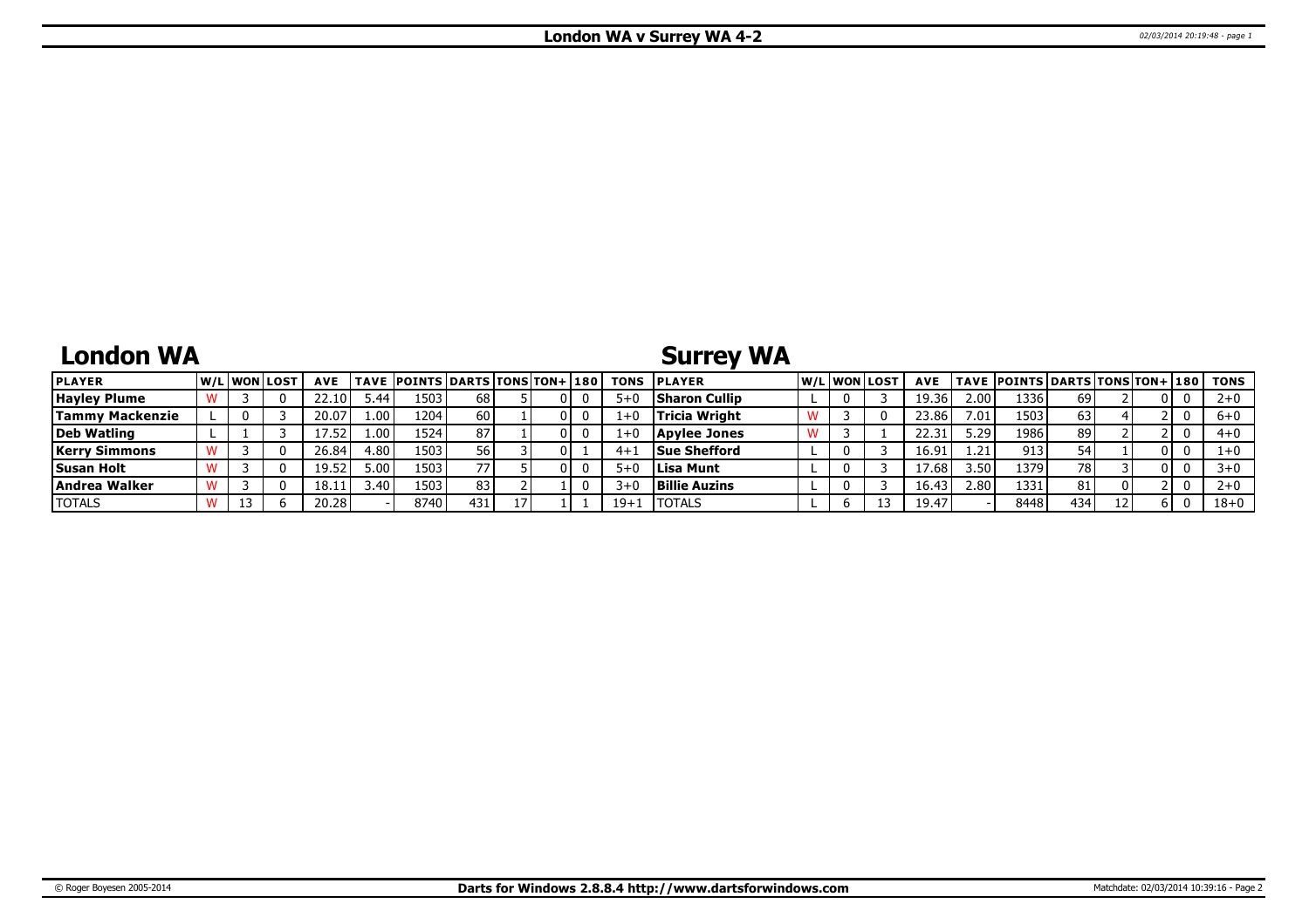## **London WA**

# **Surrey WA**

| <b>PLAYER</b>          | W/Liwonilost | <b>AVE</b> |                   | <b>TAVE POINTS DARTS TONS TON+ 180</b> |      |     | <b>TONS</b> | <b>IPLAYER</b>       |  | W/Liwonilost | <b>AVE</b> |                   | <b>TAVE POINTS DARTS TONS TON+ 180</b> |     |    |     | TONS     |
|------------------------|--------------|------------|-------------------|----------------------------------------|------|-----|-------------|----------------------|--|--------------|------------|-------------------|----------------------------------------|-----|----|-----|----------|
| <b>Hayley Plume</b>    |              | 22.10      | ٔ 44.ر            | 1503                                   | 68   | 0 I | $5 + C$     | <b>Sharon Cullip</b> |  |              | 19.36      | 2.00 <sub>l</sub> | 13361                                  | 69' |    | 01  |          |
| <b>Tammy Mackenzie</b> |              | 20.07      | 1.00 <sup>1</sup> | 1204                                   | 60   | OΙ  | $1 + 0$     | Tricia Wright        |  |              | 23.86      | 7.01 <sub>1</sub> | 1503.                                  | 63  |    |     | $6 + 0$  |
| Deb Watling            |              | 17.52      | 1.00 <sup>1</sup> | 1524                                   | 87   | 01  | $1 + 0$     | Apylee Jones         |  |              | 22.3       | 5.29              | 1986                                   | 89  |    |     | $4 + 0$  |
| <b>Kerry Simmons</b>   |              | 26.84      | 1.80              | 1503                                   | 56 I | OΙ  | 4+          | Sue Shefford         |  |              | 16.91      | 1.21              | 913                                    | 54  |    | OΙ  |          |
| <b>Susan Holt</b>      |              | 19.52      | 5.001             | 1503                                   |      | 01  | 5+0         | Lisa Munt            |  |              | 17.68      | 3.50              | 1379 I                                 | 78  |    | 0 I |          |
| Andrea Walker          |              | 18.11      | ا 40.د            | 1503                                   | 83   |     |             | <b>Billie Auzins</b> |  |              | 16.43      | ا 2.80            | 1331                                   | 81  |    |     |          |
| <b>TOTALS</b>          | 13           | 20.28      |                   | 8740                                   | 431  |     | $19+$       | <b>ITOTALS</b>       |  |              | 19.47      |                   | 8448                                   | 434 | 12 | h I | $18 + 0$ |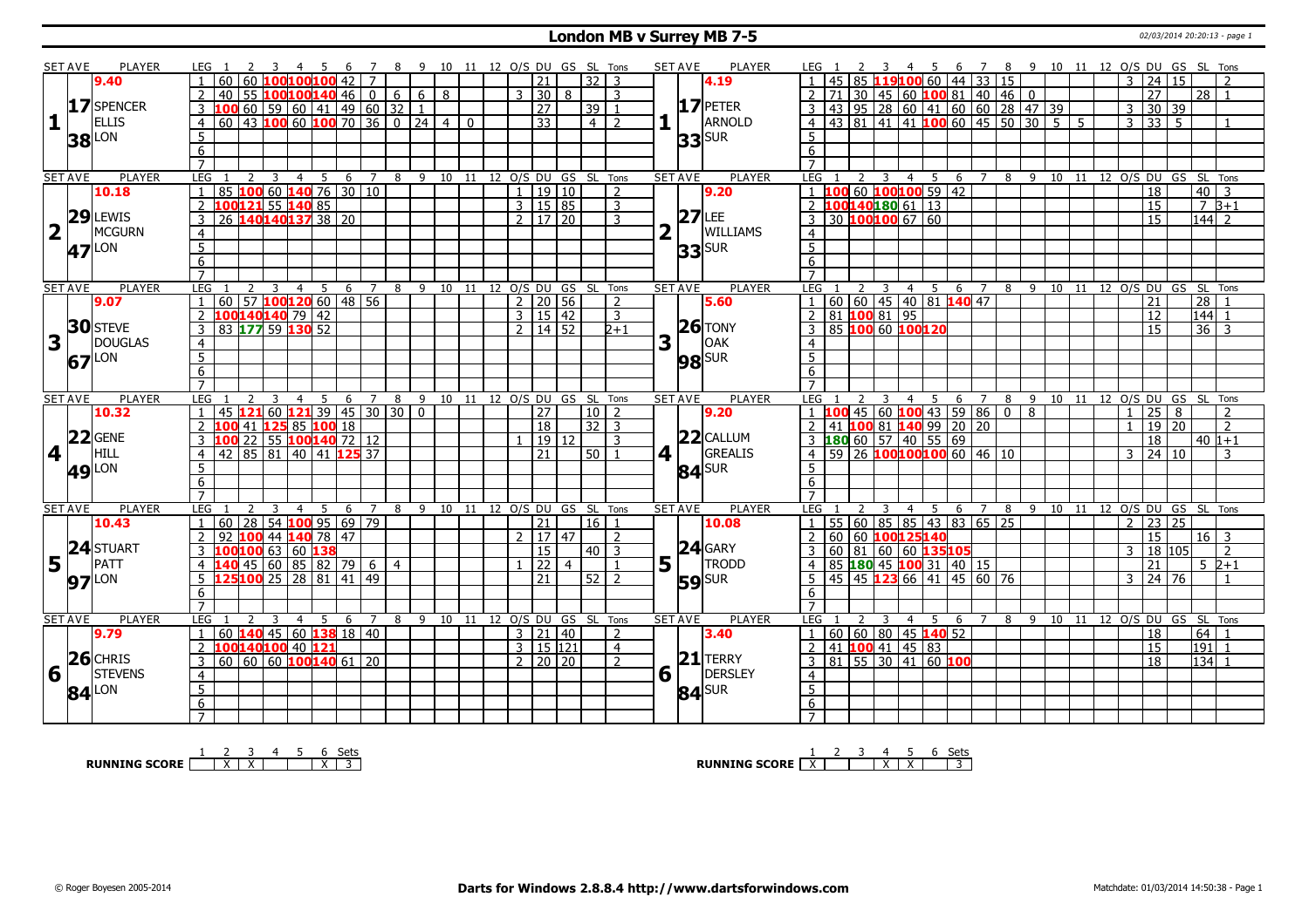#### **London MB v Surrey MB 7-5** 02/03/2014 20:20:13 - page 1

|                 | SET AVE        | PLAYER          | LEG 1                          |                                             |                |                 |                |                             |     |   |                |                |                |    |  |              |                         |                |                                | 10 11 12 O/S DU GS SL Tons     |   | SET AVE                        | PLAYER          |                                   |                            |                         |                |             |                         |                | 7 8 9 10 11 12 O/S DU GS SL Tons                                                                               |   |  |                              |   |                                 |    |                   |                            |
|-----------------|----------------|-----------------|--------------------------------|---------------------------------------------|----------------|-----------------|----------------|-----------------------------|-----|---|----------------|----------------|----------------|----|--|--------------|-------------------------|----------------|--------------------------------|--------------------------------|---|--------------------------------|-----------------|-----------------------------------|----------------------------|-------------------------|----------------|-------------|-------------------------|----------------|----------------------------------------------------------------------------------------------------------------|---|--|------------------------------|---|---------------------------------|----|-------------------|----------------------------|
|                 |                | 9.40            |                                | 60                                          | 60             |                 |                |                             | 42  |   |                |                |                |    |  |              | 21                      |                | 32                             | -3                             |   |                                | 4.19            |                                   | 45                         |                         |                |             | 6                       |                | 85 119100 60 44 33 15                                                                                          |   |  |                              | 3 | $\overline{24}$                 | 15 |                   |                            |
|                 |                |                 | $\overline{2}$                 | 40                                          |                | 55 100100140 46 |                |                             |     |   | $\overline{0}$ | 6 I            |                | 68 |  |              | $3 \mid 30 \mid$        | 8              |                                | 3                              |   |                                |                 | $\overline{2}$                    | 71                         |                         |                |             |                         |                | 30   45   60   100   81   40   46   0                                                                          |   |  |                              |   | $\overline{27}$                 |    | $\overline{28}$ 1 |                            |
|                 |                | 17 SPENCER      | $\overline{3}$                 | 100                                         |                |                 |                |                             |     |   |                |                |                |    |  |              | $\overline{27}$         |                | 39 1                           |                                |   |                                | $17$ PETER      | $\overline{3}$                    |                            |                         |                |             |                         |                |                                                                                                                |   |  |                              | 3 | 30                              | 39 |                   |                            |
|                 |                | <b>ELLIS</b>    |                                |                                             |                |                 |                |                             |     |   |                |                |                |    |  |              |                         |                |                                |                                |   |                                | ARNOLD          |                                   |                            |                         |                |             |                         |                | 43 95 28 60 41 60 60 28 47 39<br>43 81 41 41 <b>100</b> 60 45 50 30 5 5                                        |   |  |                              |   |                                 |    |                   |                            |
| 1               |                |                 | $\overline{4}$                 |                                             |                |                 |                |                             |     |   |                |                |                |    |  |              | 33                      |                | $\overline{4}$ 2               |                                |   |                                |                 | $\overline{4}$                    |                            |                         |                |             |                         |                |                                                                                                                |   |  |                              |   | $3 \overline{)33 \overline{)5}$ |    |                   | $\overline{1}$             |
|                 |                | <b>38</b> LON   | $\overline{5}$                 |                                             |                |                 |                |                             |     |   |                |                |                |    |  |              |                         |                |                                |                                |   |                                | $33$ $SUR$      | $5\overline{)}$                   |                            |                         |                |             |                         |                |                                                                                                                |   |  |                              |   |                                 |    |                   |                            |
|                 |                |                 | 6                              |                                             |                |                 |                |                             |     |   |                |                |                |    |  |              |                         |                |                                |                                |   |                                |                 | 6                                 |                            |                         |                |             |                         |                |                                                                                                                |   |  |                              |   |                                 |    |                   |                            |
|                 |                |                 | $\overline{7}$                 |                                             |                |                 |                |                             |     |   |                |                |                |    |  |              |                         |                |                                |                                |   |                                |                 |                                   |                            |                         |                |             |                         |                |                                                                                                                |   |  |                              |   |                                 |    |                   |                            |
|                 | <b>SET AVE</b> | PLAYER          | <b>LEG</b>                     |                                             | <sup>2</sup>   | $\overline{3}$  |                | $4 \quad 5 \quad 6 \quad 7$ |     |   |                |                |                |    |  |              |                         |                |                                | 8 9 10 11 12 O/S DU GS SL Tons |   | <b>SET AVE</b>                 | <b>PLAYER</b>   | LEG                               |                            | $\overline{\mathbf{3}}$ |                |             |                         |                | 4 5 6 7 8 9 10 11 12 O/S DU GS SL Tons                                                                         |   |  |                              |   |                                 |    |                   |                            |
|                 |                | 10.18           |                                | 85 100 60 140 76 30 10                      |                |                 |                |                             |     |   |                |                |                |    |  | $\mathbf{1}$ |                         | 19 10          |                                | 2                              |   |                                | 9.20            |                                   |                            |                         |                |             | 60 100100 59 42         |                |                                                                                                                |   |  |                              |   | $\overline{18}$                 |    | 40                | $\overline{3}$             |
|                 |                |                 | $\overline{2}$                 | 100121 55 140 85                            |                |                 |                |                             |     |   |                |                |                |    |  |              | 3   15   85             |                |                                | 3                              |   |                                |                 |                                   | 1001401806113              |                         |                |             |                         |                |                                                                                                                |   |  |                              |   | 15                              |    | $78+1$            |                            |
|                 |                | $29$ LEWIS      | $\overline{3}$                 | 26 140 140 137 38 20                        |                |                 |                |                             |     |   |                |                |                |    |  |              | $2 \mid 17 \mid 20$     |                |                                | 3                              |   | 27                             | LEE             | $\overline{3}$                    | 30 100100 67 60            |                         |                |             |                         |                |                                                                                                                |   |  |                              |   | 15                              |    | $\sqrt{144}$ 2    |                            |
|                 | $\mathbf{I}$   | MCGURN          | $\overline{4}$                 |                                             |                |                 |                |                             |     |   |                |                |                |    |  |              |                         |                |                                |                                |   |                                | <b>WILLIAMS</b> | $\overline{4}$                    |                            |                         |                |             |                         |                |                                                                                                                |   |  |                              |   |                                 |    |                   |                            |
|                 | 47             | _ON             | $\overline{5}$                 |                                             |                |                 |                |                             |     |   |                |                |                |    |  |              |                         |                |                                |                                |   |                                | $33$ SUR        | $\overline{5}$                    |                            |                         |                |             |                         |                |                                                                                                                |   |  |                              |   |                                 |    |                   |                            |
|                 |                |                 | 6                              |                                             |                |                 |                |                             |     |   |                |                |                |    |  |              |                         |                |                                |                                |   |                                |                 | 6                                 |                            |                         |                |             |                         |                |                                                                                                                |   |  |                              |   |                                 |    |                   |                            |
|                 |                |                 | $\overline{7}$                 |                                             |                |                 |                |                             |     |   |                |                |                |    |  |              |                         |                |                                |                                |   |                                |                 | $\overline{7}$                    |                            |                         |                |             |                         |                |                                                                                                                |   |  |                              |   |                                 |    |                   |                            |
|                 | <b>SET AVE</b> | <b>PLAYER</b>   | <b>LEG</b>                     |                                             |                | 3               | $\overline{4}$ | 5                           | - 6 |   | 7              |                |                |    |  |              |                         |                | 8 9 10 11 12 O/S DU GS SL Tons |                                |   | <b>SET AVE</b>                 | <b>PLAYER</b>   | LEG                               |                            | 3                       |                |             |                         |                | 4 5 6 7 8 9 10 11 12 O/S DU GS SL Tons                                                                         |   |  |                              |   |                                 |    |                   |                            |
|                 |                | 9.07            | $\overline{1}$                 | 60   57   <mark>100 120</mark> 60   48   56 |                |                 |                |                             |     |   |                |                |                |    |  |              | $2 \mid 20 \mid 56$     |                |                                | $\mathcal{L}$                  |   |                                | 5.60            |                                   |                            |                         |                |             |                         |                |                                                                                                                |   |  |                              |   | 21                              |    | 28                | $\overline{\phantom{0}}$   |
|                 |                |                 | 2                              | 100140140 79 42                             |                |                 |                |                             |     |   |                |                |                |    |  |              | 3   15   42             |                |                                | $\overline{3}$                 |   |                                |                 | $\overline{2}$                    |                            |                         |                |             | 0 60 60 45 40 81 140 47 |                |                                                                                                                |   |  |                              |   | 12                              |    | $\frac{1}{44}$ 1  |                            |
|                 |                | <b>30</b> STEVE | $\overline{3}$                 | 83 177 59 130 52                            |                |                 |                |                             |     |   |                |                |                |    |  |              | $\overline{2}$ 14 52    |                |                                | $2+1$                          |   |                                | $ 26 $ TONY     |                                   |                            |                         |                |             |                         |                |                                                                                                                |   |  |                              |   | 15                              |    | $36 \mid 3$       |                            |
| 3               |                | <b>DOUGLAS</b>  |                                |                                             |                |                 |                |                             |     |   |                |                |                |    |  |              |                         |                |                                |                                | 3 |                                | OAK             |                                   |                            |                         |                |             |                         |                |                                                                                                                |   |  |                              |   |                                 |    |                   |                            |
|                 |                |                 | $\overline{4}$                 |                                             |                |                 |                |                             |     |   |                |                |                |    |  |              |                         |                |                                |                                |   |                                |                 | $\overline{4}$                    |                            |                         |                |             |                         |                |                                                                                                                |   |  |                              |   |                                 |    |                   |                            |
|                 |                | 67LON           | $\overline{5}$                 |                                             |                |                 |                |                             |     |   |                |                |                |    |  |              |                         |                |                                |                                |   |                                | <b>98</b> SUR   | $\overline{5}$                    |                            |                         |                |             |                         |                |                                                                                                                |   |  |                              |   |                                 |    |                   |                            |
|                 |                |                 | 6                              |                                             |                |                 |                |                             |     |   |                |                |                |    |  |              |                         |                |                                |                                |   |                                |                 | 6                                 |                            |                         |                |             |                         |                |                                                                                                                |   |  |                              |   |                                 |    |                   |                            |
|                 |                |                 | $\overline{7}$                 |                                             |                |                 |                |                             |     |   |                |                |                |    |  |              |                         |                |                                |                                |   |                                |                 | $\overline{7}$                    |                            |                         |                |             |                         |                |                                                                                                                |   |  |                              |   |                                 |    |                   |                            |
|                 |                |                 |                                |                                             |                |                 | 4              | 5                           |     | 6 | 7              | 8              | 9              |    |  |              | 10 11 12 O/S DU         |                | GS SL                          | Tons                           |   | <b>SET AVE</b>                 | <b>PLAYER</b>   | LEG                               |                            |                         | 4              | 5           | 6 7                     |                | 8 9 10 11                                                                                                      |   |  | 12 O/S DU GS SL              |   |                                 |    |                   | Tons                       |
|                 | <b>SET AVE</b> | PLAYER          | <b>LEG</b>                     |                                             |                |                 |                |                             |     |   |                |                |                |    |  |              |                         |                |                                |                                |   |                                |                 |                                   |                            |                         |                |             |                         |                |                                                                                                                |   |  |                              |   |                                 |    |                   |                            |
|                 |                | 10.32           | $\overline{1}$                 | 45 <b>121 60 121 39 45 30 30  </b>          |                |                 |                |                             |     |   |                |                | $\overline{0}$ |    |  |              | 27                      |                | 10   2                         |                                |   |                                | 9.20            |                                   |                            |                         |                |             |                         |                |                                                                                                                | 8 |  |                              |   | 25                              | 8  |                   | $\overline{2}$             |
|                 |                |                 | $\overline{2}$                 | 100 41 125 85 100 18                        |                |                 |                |                             |     |   |                |                |                |    |  |              | 18                      |                | $32$   3                       |                                |   |                                |                 |                                   |                            |                         |                |             |                         |                |                                                                                                                |   |  |                              |   | $19 \overline{)20}$             |    |                   | $\overline{2}$             |
|                 |                | $22$ GENE       | 3                              | 100 22 55 100 140 72 12                     |                |                 |                |                             |     |   |                |                |                |    |  |              |                         | 19 12          |                                | $\mathbf{3}$                   |   |                                | $22$ CALLUM     |                                   |                            |                         |                |             |                         |                |                                                                                                                |   |  |                              |   | 18                              |    | $40 1+1$          |                            |
| $4\overline{1}$ |                | <b>HILL</b>     | $\overline{4}$                 | 42 85 81 40 41 125 37                       |                |                 |                |                             |     |   |                |                |                |    |  |              | 21                      |                | $50$ 1                         |                                |   | $4$   $\overline{\phantom{0}}$ | GREALIS         |                                   |                            |                         |                |             |                         |                |                                                                                                                |   |  |                              |   | $3 \mid 24 \mid 10$             |    |                   | 3                          |
|                 |                |                 | $\overline{5}$                 |                                             |                |                 |                |                             |     |   |                |                |                |    |  |              |                         |                |                                |                                |   |                                |                 | 5 <sup>5</sup>                    |                            |                         |                |             |                         |                | 1 100 45 60 100 43 59 86 0<br>2 41 100 81 140 99 20 20<br>3 180 60 57 40 55 69<br>4 59 26 100 100 100 60 46 10 |   |  |                              |   |                                 |    |                   |                            |
|                 |                | <b>49 LON</b>   | 6                              |                                             |                |                 |                |                             |     |   |                |                |                |    |  |              |                         |                |                                |                                |   |                                | $84$ SUR        | $6\overline{6}$                   |                            |                         |                |             |                         |                |                                                                                                                |   |  |                              |   |                                 |    |                   |                            |
|                 |                |                 | $\overline{7}$                 |                                             |                |                 |                |                             |     |   |                |                |                |    |  |              |                         |                |                                |                                |   |                                |                 |                                   |                            |                         |                |             |                         |                |                                                                                                                |   |  |                              |   |                                 |    |                   |                            |
|                 | <b>SET AVE</b> | PLAYER          | <b>LEG</b>                     |                                             |                | 3               | $\overline{4}$ | - 5                         | 6   |   | $\overline{7}$ |                |                |    |  |              |                         |                | 8 9 10 11 12 0/S DU GS SL Tons |                                |   | <b>SET AVE</b>                 | <b>PLAYER</b>   | LEG 1                             |                            | 3                       | $\overline{4}$ | $5^{\circ}$ | 6 7 8                   |                |                                                                                                                |   |  | 9 10 11 12 0/S DU GS SL Tons |   |                                 |    |                   |                            |
|                 |                | 10.43           | $\overline{1}$                 | 60   28   54   100   95   69   79           |                |                 |                |                             |     |   |                |                |                |    |  |              | $\overline{21}$         |                | 16                             | $\overline{1}$                 |   |                                | 10.08           | $\overline{1}$                    |                            |                         |                |             | 55 60 85 85 43 83 65 25 |                |                                                                                                                |   |  |                              |   | $2 \mid 23 \mid 25$             |    |                   |                            |
|                 |                |                 |                                | 92 100 44                                   |                |                 |                | $140$ 78 47                 |     |   |                |                |                |    |  |              | 2   17   47             |                |                                | 2                              |   |                                |                 |                                   | 60 60 100125140            |                         |                |             |                         |                |                                                                                                                |   |  |                              |   | 15                              |    | $16 \mid 3$       |                            |
|                 |                |                 |                                |                                             |                |                 |                |                             |     |   |                |                |                |    |  |              | $\overline{15}$         |                | $40$   3                       |                                |   |                                | $24$ GARY       |                                   |                            |                         |                |             |                         |                |                                                                                                                |   |  |                              | 3 | 18 105                          |    |                   | $\overline{2}$             |
|                 |                | 24 STUART       |                                | 100100 63 60 138                            |                |                 |                |                             |     |   |                |                |                |    |  |              |                         |                |                                | $\mathbf{1}$                   |   |                                |                 |                                   |                            |                         |                |             | 60 81 60 60 135105      |                |                                                                                                                |   |  |                              |   |                                 |    |                   |                            |
| $5\overline{1}$ |                | PATT            | $\overline{4}$                 | 140 45 60 85 82 79                          |                |                 |                |                             |     |   | $\overline{6}$ | $\overline{4}$ |                |    |  |              | 22                      | $\overline{4}$ |                                |                                |   | $5\vert \bar{1}$               | <b>TRODD</b>    |                                   |                            |                         |                |             | 85 180 45 100 31 40 15  |                |                                                                                                                |   |  |                              |   | 21                              |    |                   | $5\;2+1$<br>$\overline{1}$ |
|                 |                | <b>97</b> LON   | 5 <sup>5</sup>                 | 125100 25 28 81 41                          |                |                 |                |                             |     |   | 49             |                |                |    |  |              | 21                      |                | 52 2                           |                                |   |                                | <b>59</b> SUR   | .5                                |                            |                         |                |             |                         |                | 45 45 123 66 41 45 60 76                                                                                       |   |  |                              |   | $3 \mid 24 \mid 76$             |    |                   |                            |
|                 |                |                 | 6                              |                                             |                |                 |                |                             |     |   |                |                |                |    |  |              |                         |                |                                |                                |   |                                |                 | 6                                 |                            |                         |                |             |                         |                |                                                                                                                |   |  |                              |   |                                 |    |                   |                            |
|                 |                |                 | $\overline{7}$                 |                                             |                |                 |                |                             |     |   |                |                |                |    |  |              |                         |                |                                |                                |   |                                |                 | $\overline{7}$                    |                            |                         |                |             |                         |                |                                                                                                                |   |  |                              |   |                                 |    |                   |                            |
|                 | <b>SET AVE</b> | PLAYER          | <b>LEG</b>                     |                                             | $\overline{2}$ | $\overline{3}$  | $\overline{4}$ | 5                           | 6   |   | $\overline{7}$ | 8              |                |    |  |              |                         |                | 9 10 11 12 O/S DU GS SL Tons   |                                |   | <b>SET AVE</b>                 | <b>PLAYER</b>   | LEG <sub>1</sub>                  |                            | $\overline{3}$          | $\overline{4}$ | 5 6         |                         | $\overline{7}$ | 8                                                                                                              |   |  | 9 10 11 12 O/S DU GS SL Tons |   |                                 |    |                   |                            |
|                 |                | 9.79            | 1                              | 60   140   45   60   138   18   40          |                |                 |                |                             |     |   |                |                |                |    |  |              | 3 21 40                 |                |                                | 2                              |   |                                | 3.40            |                                   | $60   60   80   45$ 140 52 |                         |                |             |                         |                |                                                                                                                |   |  |                              |   | 18                              |    | 64                |                            |
|                 |                |                 | 2                              | 100140100 40 121                            |                |                 |                |                             |     |   |                |                |                |    |  |              | $3 \mid 15 \mid 121$    |                |                                | $\overline{4}$                 |   |                                |                 |                                   | 41 <b>100</b> 41 45 83     |                         |                |             |                         |                |                                                                                                                |   |  |                              |   | 15                              |    | 191               |                            |
|                 |                | $26$ CHRIS      | $\overline{3}$                 | 60 60 60 100 140 61 20                      |                |                 |                |                             |     |   |                |                |                |    |  |              | $2 \times 20 \times 20$ |                |                                | $\overline{z}$                 |   |                                | $21$ TERRY      | $\overline{3}$                    |                            |                         |                |             | $81$ 55 30 41 60 100    |                |                                                                                                                |   |  |                              |   | 18                              |    | $134$ 1           |                            |
| 6               |                | <b>STEVENS</b>  | $\overline{4}$                 |                                             |                |                 |                |                             |     |   |                |                |                |    |  |              |                         |                |                                |                                |   | $6\sqrt{ }$                    | DERSLEY         | $\overline{4}$                    |                            |                         |                |             |                         |                |                                                                                                                |   |  |                              |   |                                 |    |                   |                            |
|                 | 84             | _ON             | $\overline{5}$                 |                                             |                |                 |                |                             |     |   |                |                |                |    |  |              |                         |                |                                |                                |   |                                |                 | $\overline{5}$                    |                            |                         |                |             |                         |                |                                                                                                                |   |  |                              |   |                                 |    |                   |                            |
|                 |                |                 | $6\overline{6}$<br>$7^{\circ}$ |                                             |                |                 |                |                             |     |   |                |                |                |    |  |              |                         |                |                                |                                |   |                                | $84$ SUR        | $6\overline{6}$<br>$\overline{7}$ |                            |                         |                |             |                         |                |                                                                                                                |   |  |                              |   |                                 |    |                   |                            |

**RUNNING SCORE**  $\begin{array}{|c|c|c|c|c|}\n\hline\n & 2 & 3 & 4 & 5 & 6 & \text{Sets} \\
\hline\n\end{array}$ 

**RUNNING SCORE**  $\begin{array}{|c|c|c|c|c|}\n\hline\n\textbf{1} & \textbf{2} & \textbf{3} & \textbf{4} & \textbf{5} & \textbf{6} & \textbf{Sets} \\
\hline\n\textbf{5} & \textbf{5} & \textbf{7} & \textbf{8} & \textbf{1} & \textbf{1} & \textbf{1} & \textbf{1} & \textbf{1} & \textbf{1} \\
\hline\n\textbf{6} & \textbf{7} & \textbf{8} & \textbf{1} & \textbf{1} & \textbf{1} & \textbf{1} & \textbf{1} &$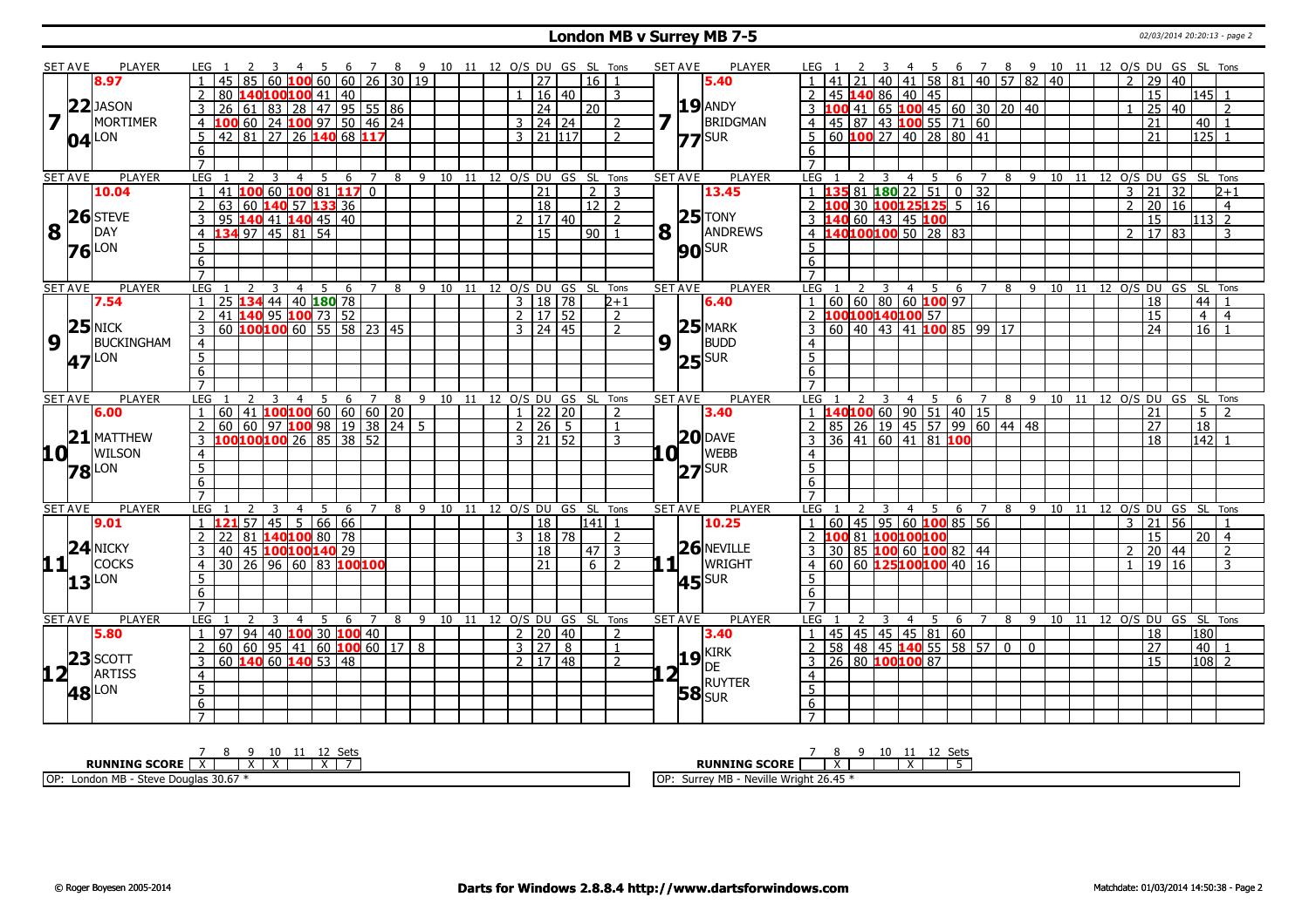#### **London MB v Surrey MB 7-5** 02/03/2014 20:20:13 - page 2

|                         | <b>SET AVE</b>                                  | PLAYER              | LEG 1                                                                           | 4 5 6 7 8 9 10 11 12 O/S DU GS SL Tons |                                |                              |                       |       |                    |                | <b>SET AVE</b>        | PLAYER              | 4 5 6 7 8 9 10 11 12 O/S DU GS SL Tons<br>LEG 1                                                  |                |
|-------------------------|-------------------------------------------------|---------------------|---------------------------------------------------------------------------------|----------------------------------------|--------------------------------|------------------------------|-----------------------|-------|--------------------|----------------|-----------------------|---------------------|--------------------------------------------------------------------------------------------------|----------------|
|                         |                                                 | 8.97                | 45<br>85<br>60                                                                  | $100$ 60 60 26 30 19                   |                                |                              | $\overline{27}$       |       | $16$   1           |                |                       | 5.40                | 40 41 58 81 40 57 82 40<br>$2 \mid 29 \mid 40$                                                   |                |
|                         |                                                 |                     | 80<br>100 100 41 40                                                             |                                        |                                |                              |                       | 16 40 |                    | 3              |                       |                     | 15<br>45 140 86 40 45<br>2                                                                       | l145l 1        |
|                         |                                                 | $22$ JASON          | 26 61 83 28 47 95 55 86<br>3                                                    |                                        |                                |                              | $\overline{24}$       |       | 20                 |                |                       | $19$ ANDY           | 3 <b>100</b> 41 65 <b>100</b> 45 60 30 20 40<br>25 40                                            |                |
| $\overline{\mathbf{z}}$ |                                                 | <b>MORTIMER</b>     | 100 60 24 100 97 50 46 24<br>$\overline{4}$                                     |                                        |                                |                              | $3 \mid 24 \mid 24$   |       |                    | 2              |                       | BRIDGMAN            | 4   45   87   43   100   55   71   60<br>$\overline{21}$                                         | $40$   1       |
|                         |                                                 | $04$ <sup>LON</sup> | 42 81 27 26 140 68 117<br>5                                                     |                                        |                                |                              | $3 \ 121 \ 1117$      |       |                    | $\overline{2}$ |                       | $77$ SUR            | 5 60 100 27 40 28 80 41<br>125<br>21                                                             |                |
|                         |                                                 |                     | 6                                                                               |                                        |                                |                              |                       |       |                    |                |                       |                     | 6                                                                                                |                |
|                         |                                                 |                     | $\overline{7}$                                                                  |                                        |                                |                              |                       |       |                    |                |                       |                     | $\overline{7}$                                                                                   |                |
|                         | SET AVE                                         | <b>PLAYER</b>       | LEG<br>3<br>-5<br>2<br>4                                                        | 6<br>$\overline{7}$                    | 8 9 10 11 12 O/S DU GS SL Tons |                              |                       |       |                    |                | <b>SET AVE</b>        | <b>PLAYER</b>       | LEG<br>8 9 10 11 12 0/S DU GS SL Tons<br>5<br>2<br>4<br>6<br>7                                   |                |
|                         |                                                 | 10.04               | 60 100 81 117 0<br>$\mathbf{1}$<br>100<br>41                                    |                                        |                                |                              | $\overline{21}$       |       | $2 \mid 3$         |                |                       | 13.45               | 1 135 81 180 22 51<br>$\overline{132}$<br>$21 \overline{32}$<br>$\overline{0}$<br>$\overline{3}$ | $2 + 1$        |
|                         |                                                 |                     | $\overline{2}$<br>140 57 133 36<br>63<br>60                                     |                                        |                                |                              | $\overline{18}$       |       | 12   2             |                |                       |                     | 2 100 30 100125125 5 16<br>20 16<br>$\overline{2}$                                               | $\overline{4}$ |
|                         |                                                 | $26$ STEVE          | 140 41 140 45 40<br>$\overline{3}$<br>95                                        |                                        |                                |                              | $2 \mid 17 \mid 40$   |       |                    | $\overline{z}$ |                       | $25$ TONY           | 3 140 60 43 45 100<br>$\overline{15}$                                                            | $113$ 2        |
|                         | $\overline{\mathbf{8}}$ $\overline{\mathbf{1}}$ | DAY                 | $13497$ 45 81 54<br>$\overline{4}$                                              |                                        |                                |                              | $\overline{15}$       |       | $90$ 1             |                | $8\vert$ <sup>T</sup> | ANDREWS             | 4 140100100 50 28 83<br>2   17   83                                                              | 3              |
|                         |                                                 |                     | $\overline{5}$                                                                  |                                        |                                |                              |                       |       |                    |                |                       | <b>90</b> SUR       | 5 <sup>1</sup>                                                                                   |                |
|                         |                                                 | <b>76</b> LON       | 6                                                                               |                                        |                                |                              |                       |       |                    |                |                       |                     | 6                                                                                                |                |
|                         |                                                 |                     | $\overline{7}$                                                                  |                                        |                                |                              |                       |       |                    |                |                       |                     | $\overline{7}$                                                                                   |                |
|                         | <b>SET AVE</b>                                  | <b>PLAYER</b>       | <b>LEG</b><br>$\overline{3}$<br>$\overline{4}$<br>$\overline{5}$<br>2           | 6 7 8 9 10 11 12 0/S DU GS SL Tons     |                                |                              |                       |       |                    |                | <b>SET AVE</b>        | <b>PLAYER</b>       | LEG 1<br>2 3 4 5 6 7 8 9 10 11 12 O/S DU GS SL Tons                                              |                |
|                         |                                                 | 7.54                | 25 134 44 40 180 78<br>$\overline{1}$                                           |                                        |                                |                              | $3 \mid 18 \mid 78$   |       |                    | 2+1            |                       | 6.40                | 1   60   60   80   60   100   97<br>18<br>44                                                     |                |
|                         |                                                 |                     | 41 140 95 100 73 52<br>$\overline{2}$                                           |                                        |                                |                              | $2 \mid 17 \mid 52$   |       |                    | 2              |                       |                     | 2 100100140100 57<br>15<br>$\overline{4}$                                                        | $\overline{4}$ |
|                         |                                                 | $25$ NICK           | 60 <b>100 100</b> 60 55 58 23 45<br>$\overline{3}$                              |                                        |                                |                              | $3 \mid 24 \mid 45$   |       |                    | $\overline{2}$ |                       | $25$ MARK           | $3 60 40 43 41$ 100 85 99 17<br>$\overline{16}$<br>$\overline{24}$                               |                |
|                         | $\overline{9}$ T                                | BUCKINGHAM          | $\overline{4}$                                                                  |                                        |                                |                              |                       |       |                    |                | 9                     | BUDD                | $\overline{4}$                                                                                   |                |
|                         |                                                 | 47 LON              | $\overline{5}$                                                                  |                                        |                                |                              |                       |       |                    |                |                       | $25$ SUR            | 5 <sup>7</sup>                                                                                   |                |
|                         |                                                 |                     | 6                                                                               |                                        |                                |                              |                       |       |                    |                |                       |                     | 6                                                                                                |                |
|                         |                                                 |                     | $\overline{7}$                                                                  |                                        |                                |                              |                       |       |                    |                |                       |                     | $\overline{7}$                                                                                   |                |
|                         | <b>SET AVE</b>                                  | <b>PLAYER</b>       | LEG<br>3<br>$\overline{4}$<br>5                                                 | 6<br>$\overline{7}$                    | 8                              | 9 10 11 12 0/S DU GS SL Tons |                       |       |                    |                | <b>SET AVE</b>        | <b>PLAYER</b>       | 8 9 10 11 12 0/S DU GS SL Tons<br>LEG<br>4 5<br>6 7                                              |                |
|                         |                                                 | 6.00                | $11$ <b>100 100</b> 60 60 60 20<br>60<br>$\overline{1}$                         |                                        |                                |                              | $1$   22   20         |       |                    | $\overline{z}$ |                       | 3.40                | L40 <mark>100</mark> 60 90 51 40 15<br>5<br>21<br>$1\,$ 1                                        |                |
|                         |                                                 |                     | $\overline{2}$                                                                  |                                        |                                |                              | $2 \mid 26 \mid 5$    |       |                    | $\overline{1}$ |                       |                     | 2 85 26 19 45 57 99 60 44 48<br>$\overline{27}$<br>$\overline{18}$                               |                |
|                         |                                                 | $21$ MATTHEW        | <u>100 60 97 100 98 19 38 24 5</u><br>100 100 100 26 85 38 52<br>$\overline{3}$ |                                        |                                |                              | $3 \overline{)21}$ 52 |       |                    | 3              |                       | $20$ DAVE           | 3 36 41 60 41 81 100<br>18                                                                       | 142 1          |
| 10 <sup>1</sup>         |                                                 | <b>WILSON</b>       | $\overline{4}$                                                                  |                                        |                                |                              |                       |       |                    |                | .OI 1                 | <b>WEBB</b>         | $\overline{4}$                                                                                   |                |
|                         |                                                 | <b>78</b> LON       | $\overline{5}$                                                                  |                                        |                                |                              |                       |       |                    |                |                       | $27$ SUR            | $\overline{5}$                                                                                   |                |
|                         |                                                 |                     | $\overline{6}$                                                                  |                                        |                                |                              |                       |       |                    |                |                       |                     | 6                                                                                                |                |
|                         |                                                 |                     | $\overline{7}$                                                                  |                                        |                                |                              |                       |       |                    |                |                       |                     | $\overline{7}$                                                                                   |                |
|                         | <b>SET AVE</b>                                  | <b>PLAYER</b>       | LEG<br>4<br>- 5                                                                 | 6<br>78                                |                                | 9 10 11 12 O/S DU GS SL Tons |                       |       |                    |                | <b>SET AVE</b>        | <b>PLAYER</b>       | LEG<br>8 9 10 11 12 O/S DU GS SL Tons<br>4 5<br>6 7                                              |                |
|                         |                                                 | 9.01                | $ 45 $ 5 66 66<br>$121$ 57<br>$\overline{1}$                                    |                                        |                                |                              | 18                    |       | $ 141 $ 1          |                |                       | 10.25               | 1   60   45   95   60   100   85   56<br>$3 \mid 21$<br>56                                       | $\overline{1}$ |
|                         |                                                 |                     | 140100 80 78<br>$\overline{81}$<br>2<br>フフ                                      |                                        |                                |                              | 3   18   78           |       |                    | 2              |                       |                     | 2 100 81 100 100 100<br>15<br>20                                                                 | $\overline{4}$ |
|                         |                                                 | $24$ NICKY          | 45 100100140 29<br>3<br>40                                                      |                                        |                                |                              | $\overline{18}$       |       | $\vert 47 \vert 3$ |                |                       | 26 NEVILLE          | $3 \ 30 \ 85 \ 100 \ 60 \ 100 \ 82 \ 44$<br>20   44<br>2                                         | 2              |
| 110                     |                                                 | <b>COCKS</b>        | 30 26 96 60 83 100100<br>$\overline{4}$                                         |                                        |                                |                              | 21                    |       | 6                  | $\overline{2}$ | . 1   1               | <b>WRIGHT</b>       | 19 16<br>4 60 60 <b>125100100</b> 40 16<br>$\overline{1}$                                        | 3              |
|                         | 13                                              | <b>LON</b>          | $5\overline{)}$                                                                 |                                        |                                |                              |                       |       |                    |                |                       | $45$ <sup>SUR</sup> | 5                                                                                                |                |
|                         |                                                 |                     | 6                                                                               |                                        |                                |                              |                       |       |                    |                |                       |                     | 6                                                                                                |                |
|                         |                                                 |                     | $\overline{7}$                                                                  |                                        |                                |                              |                       |       |                    |                |                       |                     | $\overline{7}$                                                                                   |                |
|                         | <b>SET AVE</b>                                  | <b>PLAYER</b>       | LEG<br>-5<br>2<br>3<br>4                                                        | 6<br>7                                 | 8                              | 9 10 11 12 O/S DU GS SL Tons |                       |       |                    |                | <b>SET AVE</b>        | <b>PLAYER</b>       | LEG<br>10 11 12 O/S DU GS SL Tons<br>89<br>4<br>5<br>6<br>$\overline{7}$                         |                |
|                         |                                                 | 5.80                | $97$   94   40   100   30   100   40<br>$\mathbf{1}$                            |                                        |                                |                              | $2 \mid 20 \mid 40$   |       |                    | 2              |                       | 3.40                | 1   45   45   45   45   81   60<br>180<br>18                                                     |                |
|                         |                                                 |                     | $60   60   95   41   60   100   60   17   8$<br>$\overline{2}$                  |                                        |                                |                              | 3 27                  | 8     |                    | $\mathbf{1}$   |                       |                     | 2 58 48 45 140 55 58 57 0<br>27<br>40<br>l 0                                                     |                |
|                         |                                                 | $23$ SCOTT          | $\overline{60}$ 140 $\overline{60}$ 140 $\overline{53}$ 48<br>3                 |                                        |                                |                              | 2 17 48               |       |                    | $\overline{z}$ | 19                    | <b>KIRK</b>         | 3 26 80 100100 87<br>15                                                                          | $108$ 2        |
|                         | 12+                                             | <b>ARTISS</b>       | $\overline{4}$                                                                  |                                        |                                |                              |                       |       |                    |                | 2⊺                    | DE                  | $\overline{4}$                                                                                   |                |
|                         |                                                 |                     |                                                                                 |                                        |                                |                              |                       |       |                    |                |                       | <b>RUYTER</b>       | 5 <sup>1</sup>                                                                                   |                |
|                         |                                                 |                     |                                                                                 |                                        |                                |                              |                       |       |                    |                |                       |                     |                                                                                                  |                |
|                         |                                                 | <b>48</b> LON       | $\overline{5}$                                                                  |                                        |                                |                              |                       |       |                    |                |                       | $58$ <sub>SUR</sub> |                                                                                                  |                |
|                         |                                                 |                     | $6\overline{}$<br>$\overline{7}$                                                |                                        |                                |                              |                       |       |                    |                |                       |                     | 6<br>$\overline{7}$                                                                              |                |

|                                                                                | ناھڪ<br>ーー                                                                    |
|--------------------------------------------------------------------------------|-------------------------------------------------------------------------------|
| <b>RUNNING</b><br><b>SCORI</b><br>$\cdot$<br>$\ddot{\phantom{1}}$<br>$\lambda$ | <b>RUNNING SCOPT</b><br>$\ddot{\phantom{1}}$<br>$\lambda$<br>$\lambda$        |
| 30.67<br>МB<br>nd.<br>Douglas<br><b>Stave</b><br>London<br>11 . V L .<br>ັ     | $\sim$ $\sim$<br>l OF<br>$·$ M <sub>b</sub><br>Neville Wright 26.45<br>Surrey |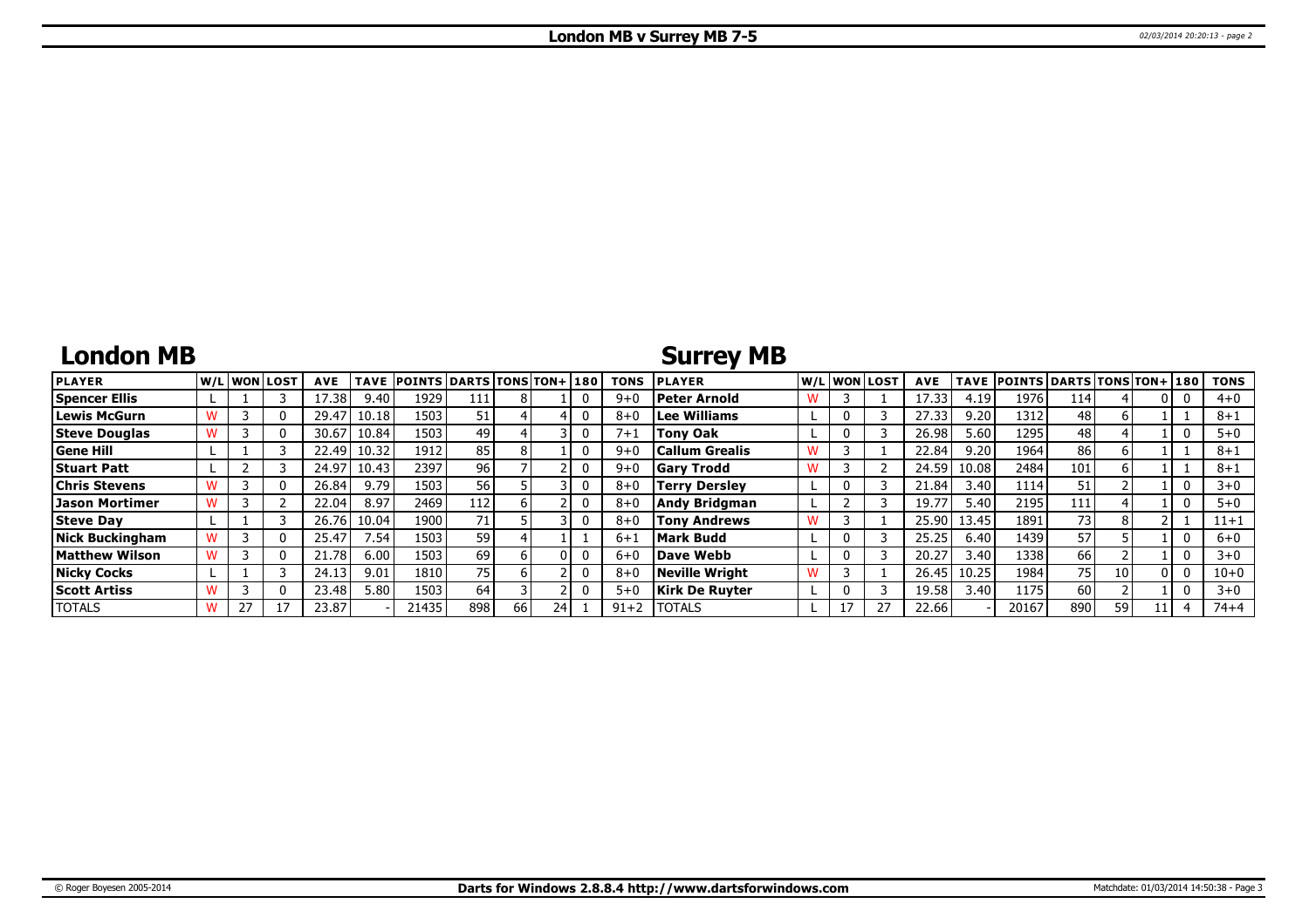## **London MB**

## **Surrey MB**

| <b>PLAYER</b>          | W/L WON LOST | <b>AVE</b> | <b>TAVE</b>     | <b>POINTS DARTS TONS TON+1180</b> |                 |    |  | <b>TONS</b> | <b>PLAYER</b>         |   | W/L WON LOST | <b>AVE</b> | <b>TAVE</b> | <b>POINTS DARTS TONS TON+ 180</b> |      |    |    | <b>TONS</b> |
|------------------------|--------------|------------|-----------------|-----------------------------------|-----------------|----|--|-------------|-----------------------|---|--------------|------------|-------------|-----------------------------------|------|----|----|-------------|
| Spencer Ellis          |              | 17.38      | 9.40            | 1929                              | 111             |    |  | $9 + 0$     | Peter Arnold          |   |              | 17.33      | 4.19        | 1976                              | 114  |    |    | $4 + 0$     |
| Lewis McGurn           |              | 29.47      | 10.18           | 1503                              | 51 <sub>1</sub> |    |  | $8 + 0$     | <b>Lee Williams</b>   |   |              | 27.33      | 9.20        | 1312                              | 48   |    |    | 8+1         |
| <b>Steve Douglas</b>   |              | 30.67      | 10.84           | 1503                              | 49              |    |  | $7 + 1$     | Tony Oak              |   |              | 26.98      | 5.60        | 1295                              | 48   |    |    | $5 + 0$     |
| <b>Gene Hill</b>       |              | 22.49      | 10.32           | 1912                              | 85              |    |  | $9 + 0$     | Callum Grealis        |   |              | 22.84      | 9.20        | 1964                              | 86   |    |    | $8 + 1$     |
| <b>Stuart Patt</b>     |              | 24.97      | 10.43           | 2397                              | 96              |    |  | $9 + 0$     | <b>Gary Trodd</b>     | w |              | 24.59      | 10.08       | 2484                              | 101  |    |    | $8 + 1$     |
| Chris Stevens          |              | 26.84      | 9.79            | 1503                              | 56              |    |  | $8 + 0$     | Terry Derslev         |   |              | 21.84      | 3.40        | 1114                              | 51   |    |    | $3 + 0$     |
| Jason Mortimer         |              | 22.04      | 8.97            | 2469                              | 112             |    |  | $8 + 0$     | Andy Bridgman         |   |              | 19.77      | 5.40        | 2195                              | 111  |    |    | $5 + 0$     |
| <b>Steve Dav</b>       |              | 26.76      | 10.04           | 1900                              | 71 <sub>1</sub> |    |  | $8 + 0$     | Tony Andrews          | w |              | 25.90      | 13.45       | 1891                              | 73 I | 8  |    | $11 + 1$    |
| <b>Nick Buckingham</b> |              | 25.47      | $^{\prime}$ .54 | 1503                              | 59              |    |  | $6 + 1$     | <b>Mark Budd</b>      |   |              | 25.25      | 6.40        | 1439                              | 57   |    |    | $6 + 0$     |
| Matthew Wilson         |              | 21.78      | 6.00            | 1503                              | 69              |    |  | $6 + 0$     | Dave Webb             |   |              | 20.27      | 3.40        | 1338                              | 66   |    |    | $3 + 0$     |
| <b>Nicky Cocks</b>     |              | 24.13      | 9.01            | 1810                              | 751             |    |  | $8 + 0$     | Neville Wriaht        | w |              | 26.45      | 10.25       | 1984                              | 75 I | 10 | n١ | $10 + 0$    |
| <b>Scott Artiss</b>    |              | 23.48      | 5.80            | 1503                              | 64              |    |  | $5+0$       | <b>Kirk De Ruyter</b> |   |              | 19.58      | 3.40        | 1175                              | 60   |    |    | $3 + 0$     |
| <b>TOTALS</b>          |              | 23.87      |                 | 21435                             | 898             | 66 |  | $91 + 2$    | <b>ITOTALS</b>        |   | 27           | 22.66      |             | 20167                             | 890  | 59 |    | $74 + 4$    |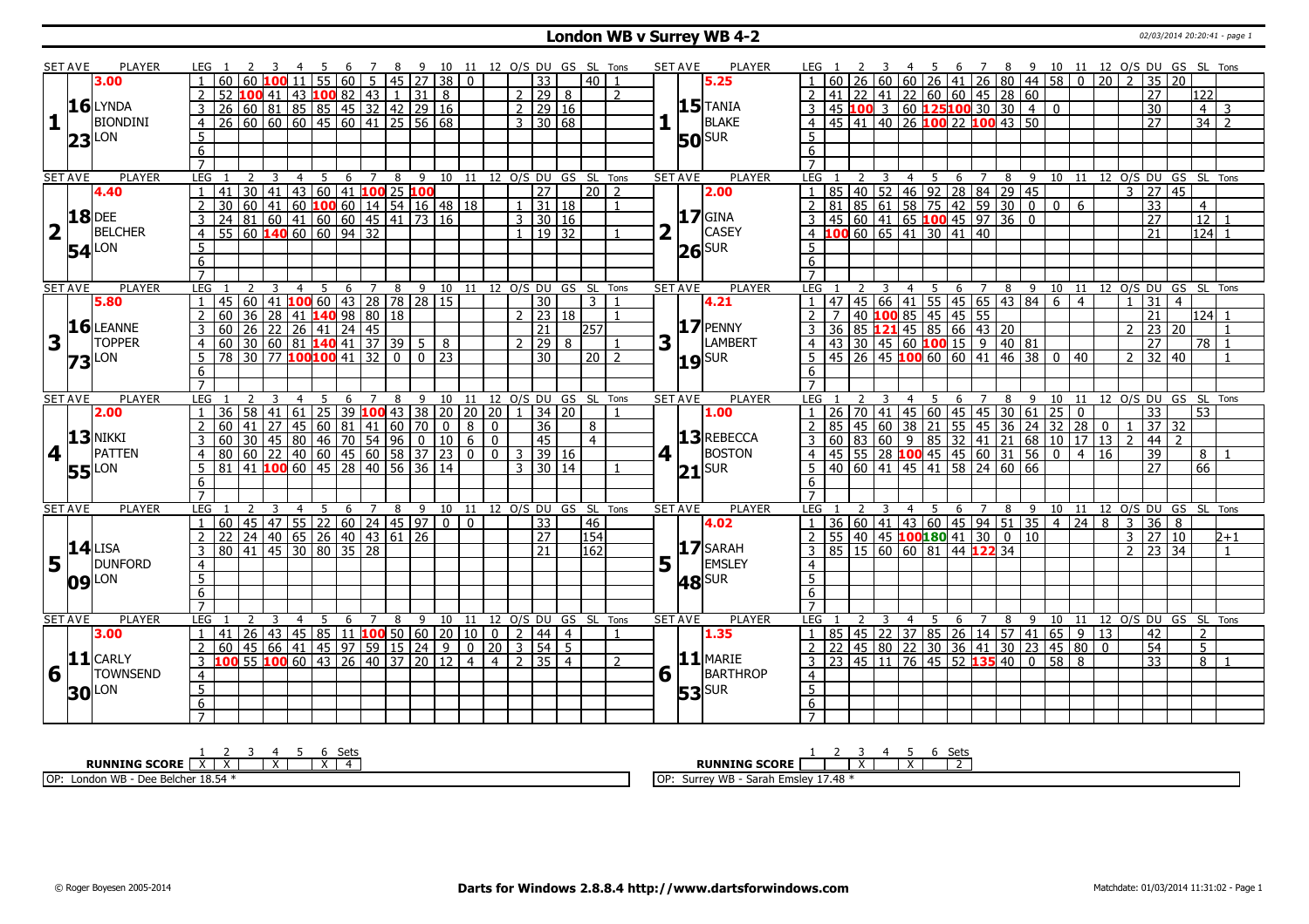#### **London WB v Surrey WB 4-2** 02/03/2014 20:20:41 - page 1

|                         | <b>SET AVE</b> | <b>PLAYER</b>       |                                   |                                                                                                    |                |                                                                |   | 7                      | 89 |                            |                |              |                |                                                  |                          | 10 11 12 O/S DU GS SL Tons         |                |                | <b>PLAYER</b><br><b>SET AVE</b>   |                                                                                                                                     |   |                         | 4 5                                                         |                      |                |                  |                |                 |                |               |                |                     | 6 7 8 9 10 11 12 0/S DU GS SL Tons |                           |
|-------------------------|----------------|---------------------|-----------------------------------|----------------------------------------------------------------------------------------------------|----------------|----------------------------------------------------------------|---|------------------------|----|----------------------------|----------------|--------------|----------------|--------------------------------------------------|--------------------------|------------------------------------|----------------|----------------|-----------------------------------|-------------------------------------------------------------------------------------------------------------------------------------|---|-------------------------|-------------------------------------------------------------|----------------------|----------------|------------------|----------------|-----------------|----------------|---------------|----------------|---------------------|------------------------------------|---------------------------|
|                         |                | 3.00                |                                   |                                                                                                    |                |                                                                |   |                        |    | 55   60   5   45   27   38 |                | $\mathbf{0}$ |                | $\overline{33}$                                  |                          | $\overline{40}$                    |                |                | 5.25                              |                                                                                                                                     |   |                         | 60 60 26 41 26 80 44 58 0                                   |                      |                |                  |                |                 |                | 20            |                | 35                  | 20                                 |                           |
|                         |                |                     | 52                                | 100 41 I                                                                                           |                | 43 100 82 43 1 31 8                                            |   |                        |    |                            |                |              |                | $2 \mid 29 \mid 8$                               |                          |                                    | $\overline{z}$ |                |                                   | 41                                                                                                                                  |   |                         | $\vert$ 22 41 22 60 60 45 28 60                             |                      |                |                  |                |                 |                |               |                | $\overline{27}$     | 122 l                              |                           |
|                         |                | $16$ LYNDA          | 3                                 |                                                                                                    |                |                                                                |   |                        |    |                            |                |              |                | $2 \ 29 \ 16$                                    |                          |                                    |                |                | $15$ <sup>TANIA</sup>             |                                                                                                                                     |   |                         | $45\,$ 100 3 60 125 100 30 30 4                             |                      |                |                  |                | $\overline{0}$  |                |               |                | $\overline{30}$     |                                    | $4 \mid 3$                |
| $\mathbf{1}$            |                | <b>BIONDINI</b>     | $\overline{4}$                    |                                                                                                    |                | 26 60 81 85 85 45 32 42 29 16<br>26 60 60 60 45 60 41 25 56 68 |   |                        |    |                            |                |              |                | $3 \mid 30 \mid 68$                              |                          |                                    |                |                | BLAKE                             | $4   45   41   40   26   100   22   100   43   50$                                                                                  |   |                         |                                                             |                      |                |                  |                |                 |                |               |                | 27                  |                                    | $34$   2                  |
|                         |                |                     |                                   |                                                                                                    |                |                                                                |   |                        |    |                            |                |              |                |                                                  |                          |                                    |                |                |                                   |                                                                                                                                     |   |                         |                                                             |                      |                |                  |                |                 |                |               |                |                     |                                    |                           |
|                         | 23             | <b>LON</b>          | 5                                 |                                                                                                    |                |                                                                |   |                        |    |                            |                |              |                |                                                  |                          |                                    |                |                | <b>50</b> SUR                     | 5                                                                                                                                   |   |                         |                                                             |                      |                |                  |                |                 |                |               |                |                     |                                    |                           |
|                         |                |                     | $\overline{6}$                    |                                                                                                    |                |                                                                |   |                        |    |                            |                |              |                |                                                  |                          |                                    |                |                |                                   | 6                                                                                                                                   |   |                         |                                                             |                      |                |                  |                |                 |                |               |                |                     |                                    |                           |
|                         |                |                     | $\overline{7}$                    |                                                                                                    |                |                                                                |   |                        |    |                            |                |              |                |                                                  |                          |                                    |                |                |                                   | $\overline{7}$                                                                                                                      |   |                         |                                                             |                      |                |                  |                |                 |                |               |                |                     |                                    |                           |
|                         | <b>SET AVE</b> | <b>PLAYER</b>       | <b>LEG</b>                        | $\overline{\mathbf{3}}$<br>$\overline{2}$                                                          | $\overline{4}$ | $\overline{5}$                                                 |   |                        |    |                            |                |              |                |                                                  |                          | 6 7 8 9 10 11 12 0/S DU GS SL Tons |                |                | <b>PLAYER</b><br><b>SET AVE</b>   | LEG <sub>1</sub>                                                                                                                    | 2 | $\overline{\mathbf{3}}$ | $4 \quad 5$                                                 |                      |                |                  |                |                 |                |               |                |                     | 6 7 8 9 10 11 12 O/S DU GS SL Tons |                           |
|                         |                | 4.40                | 41<br>$\mathbf{1}$                |                                                                                                    |                | 30 41 43 60 41 100 25 100                                      |   |                        |    |                            |                |              |                | $\overline{27}$                                  |                          | $\sqrt{20}$ 2                      |                |                | 2.00                              | 85 40 52 46 92 28 84 29 45<br>81 85 61 58 75 42 59 30 0<br>45 60 41 65 100 45 97 36 0                                               |   |                         |                                                             |                      |                |                  |                |                 |                |               | 3 27           |                     | 45                                 |                           |
|                         |                |                     | $\overline{2}$<br>30              |                                                                                                    |                | 60 41 60 100 60 14 54 16 48 18                                 |   |                        |    |                            |                |              |                | $1 \vert 31 \vert 18$                            |                          |                                    | $\overline{1}$ |                |                                   | $\overline{2}$                                                                                                                      |   |                         |                                                             |                      |                |                  |                | $\mathbf 0$     | 6              |               |                | $\overline{33}$     | $\overline{4}$                     |                           |
|                         |                | <b>18</b> DEE       | 3                                 |                                                                                                    |                | 24 81 60 41 60 60 45 41 73 16<br>55 60 <b>140</b> 60 60 94 32  |   |                        |    |                            |                |              |                | 3   30   16                                      |                          |                                    |                |                | $17$ GINA                         | 3                                                                                                                                   |   |                         |                                                             |                      |                |                  |                |                 |                |               |                | 27                  | $\overline{12}$                    |                           |
| $\overline{\mathbf{2}}$ |                | <b>BELCHER</b>      | 4                                 |                                                                                                    |                |                                                                |   |                        |    |                            |                |              |                |                                                  | 19 32                    |                                    |                |                | <b>CASEY</b>                      |                                                                                                                                     |   |                         | 10060606541304140                                           |                      |                |                  |                |                 |                |               |                | 21                  | 124                                |                           |
|                         |                | $54$ <sup>LON</sup> | $5\phantom{.0}$                   |                                                                                                    |                |                                                                |   |                        |    |                            |                |              |                |                                                  |                          |                                    |                |                | $26$ SUR                          | .5.                                                                                                                                 |   |                         |                                                             |                      |                |                  |                |                 |                |               |                |                     |                                    |                           |
|                         |                |                     | 6                                 |                                                                                                    |                |                                                                |   |                        |    |                            |                |              |                |                                                  |                          |                                    |                |                |                                   | 6                                                                                                                                   |   |                         |                                                             |                      |                |                  |                |                 |                |               |                |                     |                                    |                           |
|                         |                |                     | $\overline{7}$                    |                                                                                                    |                |                                                                |   |                        |    |                            |                |              |                |                                                  |                          |                                    |                |                |                                   | $\overline{7}$                                                                                                                      |   |                         |                                                             |                      |                |                  |                |                 |                |               |                |                     |                                    |                           |
|                         | <b>SET AVE</b> | <b>PLAYER</b>       | LEG                               |                                                                                                    | $\overline{4}$ | $\overline{5}$                                                 | 6 | $\overline{7}$         | 8  |                            |                |              |                |                                                  |                          | 9 10 11 12 O/S DU GS SL Tons       |                |                | <b>SET AVE</b><br><b>PLAYER</b>   | LEG                                                                                                                                 |   |                         | $\overline{5}$<br>$\overline{4}$                            |                      | 6 <sub>7</sub> | $\overline{8}$   | $\overline{9}$ | 10              | 11             |               |                |                     | 12 O/S DU GS SL Tons               |                           |
|                         |                | 5.80                |                                   |                                                                                                    |                | 45 60 41 <b>100</b> 60 43 28 78 28 15                          |   |                        |    |                            |                |              |                | 30                                               |                          | $\overline{3}$                     |                |                | 4.21                              | 47 45 66 41 55 45 65 43 84 6<br>7 40 <b>100</b> 85 45 45 55<br>36 85 <b>121</b> 45 85 66 43 20<br>43 30 45 60 <b>100</b> 15 9 40 81 |   |                         |                                                             |                      |                |                  |                |                 | $\overline{4}$ |               |                | $\overline{31}$     | $\overline{4}$                     |                           |
|                         |                |                     | 60<br>$\overline{2}$              |                                                                                                    |                |                                                                |   |                        |    |                            |                |              |                | $2 \mid 23 \mid 18$                              |                          |                                    | $\mathbf{1}$   |                |                                   | $\overline{2}$                                                                                                                      |   |                         |                                                             |                      |                |                  |                |                 |                |               |                | $\overline{21}$     |                                    | $124$ 1                   |
|                         |                | 16 LEANNE           | 60<br>3                           |                                                                                                    |                | 36 28 41 <b>140</b> 98 80 18<br>26 22 26 41 24 45              |   |                        |    |                            |                |              |                | 21                                               |                          | 257                                |                |                | $17$ PENNY                        | $\overline{3}$                                                                                                                      |   |                         |                                                             |                      |                |                  |                |                 |                |               | $2 \mid 23$    |                     | 20                                 | $\overline{1}$            |
| 3                       |                | <b>TOPPER</b>       | 60<br>4                           |                                                                                                    |                | $30\overline{)60}$ 81 <b>140</b> 41 37 39 5 8                  |   |                        |    |                            |                |              |                | $\mathcal{D}$                                    | $\boxed{29}$             |                                    |                | 3              | LAMBERT                           | $\overline{4}$                                                                                                                      |   |                         |                                                             |                      |                |                  |                |                 |                |               |                | $\overline{27}$     |                                    | $78$ 1                    |
|                         |                |                     | 5                                 |                                                                                                    |                | 78 30 77 100 100 41 32 0 0 23                                  |   |                        |    |                            |                |              |                | 30                                               |                          | $\sqrt{20}$ 2                      |                |                |                                   | 5                                                                                                                                   |   |                         | $\frac{13}{45}$ 26 45 100 60 60 41 46 38 0 40               |                      |                |                  |                |                 |                |               |                | $2 \mid 32 \mid 40$ |                                    | $\overline{1}$            |
|                         | 73             | LON                 |                                   |                                                                                                    |                |                                                                |   |                        |    |                            |                |              |                |                                                  |                          |                                    |                |                | $19$ SUR                          |                                                                                                                                     |   |                         |                                                             |                      |                |                  |                |                 |                |               |                |                     |                                    |                           |
|                         |                |                     | 6                                 |                                                                                                    |                |                                                                |   |                        |    |                            |                |              |                |                                                  |                          |                                    |                |                |                                   | 6                                                                                                                                   |   |                         |                                                             |                      |                |                  |                |                 |                |               |                |                     |                                    |                           |
|                         |                |                     | $\overline{7}$                    |                                                                                                    |                |                                                                |   |                        |    |                            |                |              |                |                                                  |                          |                                    |                |                |                                   |                                                                                                                                     |   |                         |                                                             |                      |                |                  |                |                 |                |               |                |                     |                                    |                           |
|                         | <b>SET AVE</b> | <b>PLAYER</b>       | LEG <sub>1</sub>                  |                                                                                                    | $\overline{4}$ | -5                                                             |   |                        |    |                            |                |              |                |                                                  |                          | 6 7 8 9 10 11 12 O/S DU GS SL Tons |                |                | <b>PLAYER</b><br><b>SET AVE</b>   | LEG <sub>1</sub>                                                                                                                    |   |                         | $\overline{4}$<br>- 5                                       |                      | 6 7            | $8 \overline{9}$ |                | 10 11           |                |               |                |                     | 12 O/S DU GS SL Tons               |                           |
|                         |                | 2.00                | 36                                | 58                                                                                                 | 41 61          |                                                                |   |                        |    |                            |                |              |                | $\sqrt{25}$ 39 <b>100</b> 43 38 20 20 20 1 34 20 |                          |                                    |                |                | 1.00                              | $1 \mid 26 \mid 70 \mid 41$                                                                                                         |   |                         | $\boxed{45}$ 60 45 45 30 61                                 |                      |                |                  |                | $\overline{25}$ | $\overline{0}$ |               |                | 33                  | 53                                 |                           |
|                         |                | $13$ NIKKI          | 60                                | 41<br>27                                                                                           | 45             |                                                                |   | 60   81   41   60   70 |    |                            | $\overline{0}$ | 8            | $\mathbf{0}$   | 36                                               |                          | 8                                  |                |                |                                   | 85                                                                                                                                  |   |                         | $\frac{145}{60}$ 38 21 55 45 36 24                          |                      |                |                  |                | $\overline{32}$ | 28             | $\mathbf{0}$  |                | 37                  | 32                                 |                           |
|                         |                |                     | 60                                |                                                                                                    |                |                                                                |   |                        |    |                            |                |              | $\mathbf 0$    | 45                                               |                          | $\overline{4}$                     |                |                | 13REBECCA                         |                                                                                                                                     |   | 83 60 9                 |                                                             | 85 32 41 21 68 10 17 |                |                  |                |                 |                | $13 \mid 2$   |                | 44                  | $\overline{2}$                     |                           |
| 4                       |                | <b>PATTEN</b>       | 80<br>$\overline{4}$              |                                                                                                    |                |                                                                |   |                        |    |                            |                |              | $\overline{0}$ | 3                                                | 39 16                    |                                    |                | 4 <sup>1</sup> | <b>BOSTON</b>                     | $\overline{4}$                                                                                                                      |   |                         | 45 55 28 100 45 45 60 31 56 0<br>40 60 41 45 41 58 24 60 66 |                      |                |                  |                |                 | $\overline{4}$ | <sup>16</sup> |                | $\overline{39}$     | 8 <sup>1</sup>                     |                           |
|                         |                |                     |                                   |                                                                                                    |                |                                                                |   |                        |    |                            |                |              |                |                                                  |                          |                                    |                |                |                                   |                                                                                                                                     |   |                         |                                                             |                      |                |                  |                |                 |                |               |                | 27                  | 66                                 |                           |
|                         |                |                     | 5<br>81                           |                                                                                                    |                |                                                                |   |                        |    |                            |                |              |                | $\overline{3}$                                   | 30   14                  |                                    |                |                |                                   |                                                                                                                                     |   |                         |                                                             |                      |                |                  |                |                 |                |               |                |                     |                                    |                           |
|                         |                | <b>55</b> LON       | 6                                 | 130 45 80 46 70 54 96 0 10 6<br>60 22 40 60 45 60 58 37 23 0<br>41 <b>100</b> 60 45 28 40 56 36 14 |                |                                                                |   |                        |    |                            |                |              |                |                                                  |                          |                                    |                |                | $21$ SUR                          | 6                                                                                                                                   |   |                         |                                                             |                      |                |                  |                |                 |                |               |                |                     |                                    |                           |
|                         |                |                     | $\overline{7}$                    |                                                                                                    |                |                                                                |   |                        |    |                            |                |              |                |                                                  |                          |                                    |                |                |                                   | $\overline{7}$                                                                                                                      |   |                         |                                                             |                      |                |                  |                |                 |                |               |                |                     |                                    |                           |
|                         | <b>SET AVE</b> | <b>PLAYER</b>       | LEG                               |                                                                                                    | 4              |                                                                | 6 | 7                      | 8  | 9                          |                |              |                |                                                  |                          | 10 11 12 0/S DU GS SL Tons         |                |                | <b>SET AVE</b><br><b>PLAYER</b>   | LEG                                                                                                                                 |   |                         | 5<br>4                                                      | 6                    | 7              | 8                | 9              |                 |                |               |                |                     | 10 11 12 O/S DU GS SL Tons         |                           |
|                         |                |                     | $\mathbf{1}$<br>60                |                                                                                                    |                |                                                                |   |                        |    |                            |                | $\mathbf{0}$ |                |                                                  |                          |                                    |                |                | 4.02                              | $\mathbf{1}$                                                                                                                        |   |                         |                                                             |                      |                |                  |                |                 |                | 8             | $\overline{3}$ |                     | 8                                  |                           |
|                         |                |                     | $\overline{2}$<br>22              |                                                                                                    |                | 45 47 55 22 60 24 45 97 0                                      |   |                        |    |                            |                |              |                | 33                                               |                          | 46                                 |                |                |                                   | $\overline{2}$                                                                                                                      |   |                         | 36 60 41 43 60 45 94 51 35 4                                |                      |                |                  |                |                 | 24             |               |                | 36                  | 10                                 |                           |
|                         |                | $14$ LISA           |                                   |                                                                                                    |                | 24 40 65 26 40 43 61 26                                        |   |                        |    |                            |                |              |                | $\overline{27}$                                  |                          | 154                                |                |                |                                   |                                                                                                                                     |   |                         | $\overline{55}$ 40 45 100 180 41 30 0 10                    |                      |                |                  |                |                 |                |               | $3 \mid 27$    |                     |                                    | $2 + 1$<br>$\overline{1}$ |
|                         |                |                     | 3<br>80                           |                                                                                                    |                | 41   45   30   80   35   28                                    |   |                        |    |                            |                |              |                | 21                                               |                          | 162                                |                |                | $17$ SARAH                        | $3   85   15   60   60   81   44   122   34$                                                                                        |   |                         |                                                             |                      |                |                  |                |                 |                |               | 2              | 23                  | 34                                 |                           |
|                         | $5\vert$       | DUNFORD             | $\overline{4}$                    |                                                                                                    |                |                                                                |   |                        |    |                            |                |              |                |                                                  |                          |                                    |                |                | $5\vert \bar{1}$<br><b>EMSLEY</b> | $\overline{4}$                                                                                                                      |   |                         |                                                             |                      |                |                  |                |                 |                |               |                |                     |                                    |                           |
|                         |                | $09$ <sup>LON</sup> | $\overline{5}$                    |                                                                                                    |                |                                                                |   |                        |    |                            |                |              |                |                                                  |                          |                                    |                |                | <b>48</b> SUR                     | $\overline{5}$                                                                                                                      |   |                         |                                                             |                      |                |                  |                |                 |                |               |                |                     |                                    |                           |
|                         |                |                     | 6                                 |                                                                                                    |                |                                                                |   |                        |    |                            |                |              |                |                                                  |                          |                                    |                |                |                                   | 6                                                                                                                                   |   |                         |                                                             |                      |                |                  |                |                 |                |               |                |                     |                                    |                           |
|                         |                |                     | $\overline{7}$                    |                                                                                                    |                |                                                                |   |                        |    |                            |                |              |                |                                                  |                          |                                    |                |                |                                   |                                                                                                                                     |   |                         |                                                             |                      |                |                  |                |                 |                |               |                |                     |                                    |                           |
|                         | <b>SET AVE</b> | <b>PLAYER</b>       | LEG                               |                                                                                                    | $\overline{4}$ | 5                                                              | 6 | $\overline{7}$         | 8  |                            |                |              |                |                                                  |                          | 9 10 11 12 O/S DU GS SL Tons       |                |                | <b>SET AVE</b><br><b>PLAYER</b>   | LEG                                                                                                                                 |   |                         | 5<br>$\overline{4}$                                         | 6                    | $\overline{7}$ | 8                | $-9$           | 10 11           |                |               |                |                     | 12 O/S DU GS SL Tons               |                           |
|                         |                | 3.00                | $\mathbf{1}$<br>41                |                                                                                                    |                | 26 43 45 85 11 100 50 60 20 10                                 |   |                        |    |                            |                |              | 0 <sup>1</sup> | $\overline{2}$                                   | l 44 l<br>$\overline{4}$ |                                    |                |                | 1.35                              |                                                                                                                                     |   |                         | 85   45   22   37   85   26   14   57   41   65   9         |                      |                |                  |                |                 |                | <sup>13</sup> |                | 42                  | $\overline{2}$                     |                           |
|                         |                |                     | 60<br>$\mathbf{2}$                |                                                                                                    |                | 45   66   41   45   97   59   15   24   9                      |   |                        |    |                            |                | 0  20        |                | $3 \mid 54 \mid 5$                               |                          |                                    |                |                |                                   |                                                                                                                                     |   |                         | 22   45   80   22   30   36   41   30   23   45   80   0    |                      |                |                  |                |                 |                |               |                | 54                  | 5 <sub>1</sub>                     |                           |
|                         |                | $11$ CARLY          | $\overline{3}$                    |                                                                                                    |                | 100 55 100 60 43 26 40 37 20 12 4                              |   |                        |    |                            |                |              | $\overline{4}$ | 2 35 4                                           |                          |                                    |                |                | $11$ MARIE                        | 3 23 45 11 76 45 52 135 40 0 58                                                                                                     |   |                         |                                                             |                      |                |                  |                |                 | 8              |               |                | $\overline{33}$     |                                    | $8\vert 1$                |
| 6                       |                | <b>TOWNSEND</b>     | $\overline{4}$                    |                                                                                                    |                |                                                                |   |                        |    |                            |                |              |                |                                                  |                          |                                    |                | 6 <sup>1</sup> | BARTHROP                          | $\overline{4}$                                                                                                                      |   |                         |                                                             |                      |                |                  |                |                 |                |               |                |                     |                                    |                           |
|                         |                |                     | $\overline{5}$                    |                                                                                                    |                |                                                                |   |                        |    |                            |                |              |                |                                                  |                          |                                    |                |                |                                   | $\overline{5}$                                                                                                                      |   |                         |                                                             |                      |                |                  |                |                 |                |               |                |                     |                                    |                           |
|                         |                | <b>30</b> LON       | $6\overline{6}$<br>$\overline{7}$ |                                                                                                    |                |                                                                |   |                        |    |                            |                |              |                |                                                  |                          |                                    |                |                | $53$ <sup>SUR</sup>               | 6<br>$\overline{7}$                                                                                                                 |   |                         |                                                             |                      |                |                  |                |                 |                |               |                |                     |                                    |                           |

| ວະເວ                                                     | Setc<br>しししこ                                                         |
|----------------------------------------------------------|----------------------------------------------------------------------|
| <b>RUNNING SCORE</b><br>$\ddot{\phantom{1}}$<br>$\cdots$ | <b>RUNNING</b><br>i SCORE<br>$\ddot{\phantom{1}}$                    |
| e Belcher 18.54<br>OP:<br><b>MD</b><br>∟ondon            | 17.48<br>WB<br>I OP <sup>.</sup><br>Emslev.<br>Surre<br>Corol<br>did |